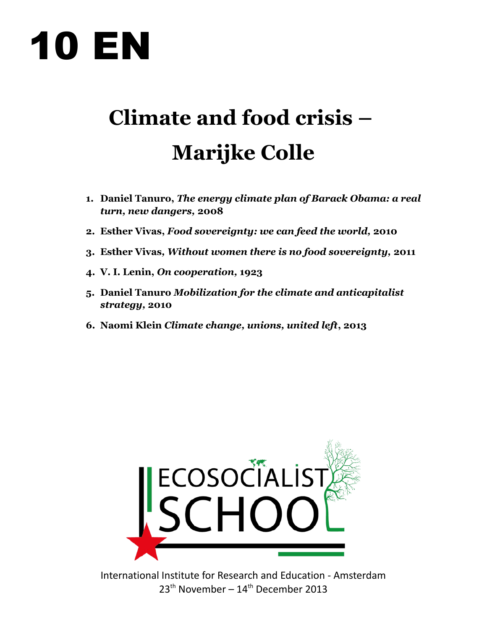

# **Climate and food crisis – Marijke Colle**

- **1. Daniel Tanuro,** *The energy climate plan of Barack Obama: a real turn, new dangers,* **2008**
- **2. Esther Vivas,** *Food sovereignty: we can feed the world,* **2010**
- **3. Esther Vivas***, Without women there is no food sovereignty,* **2011**
- **4. V. I. Lenin,** *On cooperation,* **1923**
- **5. Daniel Tanuro** *Mobilization for the climate and anticapitalist strategy,* **2010**
- **6. Naomi Klein** *Climate change, unions, united left***, 2013**



International Institute for Research and Education - Amsterdam  $23<sup>th</sup>$  November –  $14<sup>th</sup>$  December 2013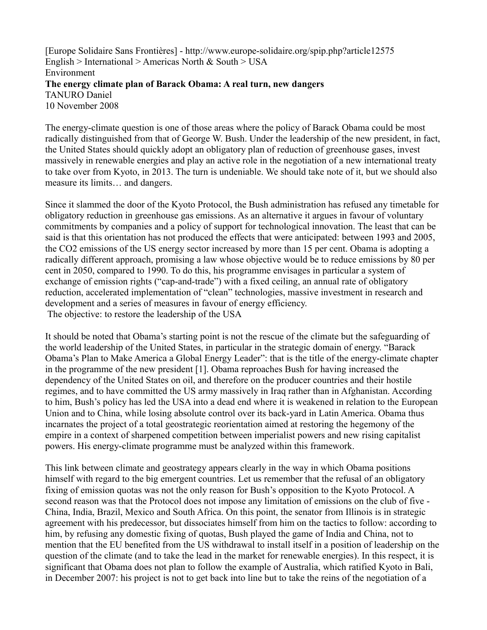[Europe Solidaire Sans Frontières] - http://www.europe-solidaire.org/spip.php?article12575 English > International > Americas North  $&$  South > USA Environment **The energy climate plan of Barack Obama: A real turn, new dangers** TANURO Daniel 10 November 2008

The energy-climate question is one of those areas where the policy of Barack Obama could be most radically distinguished from that of George W. Bush. Under the leadership of the new president, in fact, the United States should quickly adopt an obligatory plan of reduction of greenhouse gases, invest massively in renewable energies and play an active role in the negotiation of a new international treaty to take over from Kyoto, in 2013. The turn is undeniable. We should take note of it, but we should also measure its limits… and dangers.

Since it slammed the door of the Kyoto Protocol, the Bush administration has refused any timetable for obligatory reduction in greenhouse gas emissions. As an alternative it argues in favour of voluntary commitments by companies and a policy of support for technological innovation. The least that can be said is that this orientation has not produced the effects that were anticipated: between 1993 and 2005, the CO2 emissions of the US energy sector increased by more than 15 per cent. Obama is adopting a radically different approach, promising a law whose objective would be to reduce emissions by 80 per cent in 2050, compared to 1990. To do this, his programme envisages in particular a system of exchange of emission rights ("cap-and-trade") with a fixed ceiling, an annual rate of obligatory reduction, accelerated implementation of "clean" technologies, massive investment in research and development and a series of measures in favour of energy efficiency. The objective: to restore the leadership of the USA

It should be noted that Obama's starting point is not the rescue of the climate but the safeguarding of the world leadership of the United States, in particular in the strategic domain of energy. "Barack Obama's Plan to Make America a Global Energy Leader": that is the title of the energy-climate chapter in the programme of the new president [1]. Obama reproaches Bush for having increased the dependency of the United States on oil, and therefore on the producer countries and their hostile regimes, and to have committed the US army massively in Iraq rather than in Afghanistan. According to him, Bush's policy has led the USA into a dead end where it is weakened in relation to the European Union and to China, while losing absolute control over its back-yard in Latin America. Obama thus incarnates the project of a total geostrategic reorientation aimed at restoring the hegemony of the empire in a context of sharpened competition between imperialist powers and new rising capitalist powers. His energy-climate programme must be analyzed within this framework.

This link between climate and geostrategy appears clearly in the way in which Obama positions himself with regard to the big emergent countries. Let us remember that the refusal of an obligatory fixing of emission quotas was not the only reason for Bush's opposition to the Kyoto Protocol. A second reason was that the Protocol does not impose any limitation of emissions on the club of five - China, India, Brazil, Mexico and South Africa. On this point, the senator from Illinois is in strategic agreement with his predecessor, but dissociates himself from him on the tactics to follow: according to him, by refusing any domestic fixing of quotas, Bush played the game of India and China, not to mention that the EU benefited from the US withdrawal to install itself in a position of leadership on the question of the climate (and to take the lead in the market for renewable energies). In this respect, it is significant that Obama does not plan to follow the example of Australia, which ratified Kyoto in Bali, in December 2007: his project is not to get back into line but to take the reins of the negotiation of a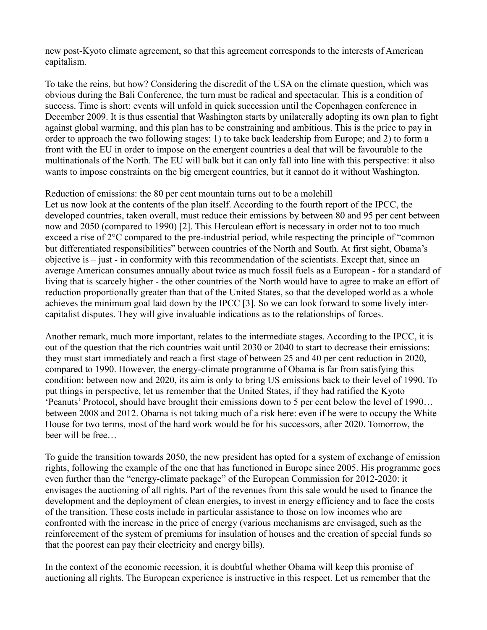new post-Kyoto climate agreement, so that this agreement corresponds to the interests of American capitalism.

To take the reins, but how? Considering the discredit of the USA on the climate question, which was obvious during the Bali Conference, the turn must be radical and spectacular. This is a condition of success. Time is short: events will unfold in quick succession until the Copenhagen conference in December 2009. It is thus essential that Washington starts by unilaterally adopting its own plan to fight against global warming, and this plan has to be constraining and ambitious. This is the price to pay in order to approach the two following stages: 1) to take back leadership from Europe; and 2) to form a front with the EU in order to impose on the emergent countries a deal that will be favourable to the multinationals of the North. The EU will balk but it can only fall into line with this perspective: it also wants to impose constraints on the big emergent countries, but it cannot do it without Washington.

Reduction of emissions: the 80 per cent mountain turns out to be a molehill

Let us now look at the contents of the plan itself. According to the fourth report of the IPCC, the developed countries, taken overall, must reduce their emissions by between 80 and 95 per cent between now and 2050 (compared to 1990) [2]. This Herculean effort is necessary in order not to too much exceed a rise of 2°C compared to the pre-industrial period, while respecting the principle of "common but differentiated responsibilities" between countries of the North and South. At first sight, Obama's objective is – just - in conformity with this recommendation of the scientists. Except that, since an average American consumes annually about twice as much fossil fuels as a European - for a standard of living that is scarcely higher - the other countries of the North would have to agree to make an effort of reduction proportionally greater than that of the United States, so that the developed world as a whole achieves the minimum goal laid down by the IPCC [3]. So we can look forward to some lively intercapitalist disputes. They will give invaluable indications as to the relationships of forces.

Another remark, much more important, relates to the intermediate stages. According to the IPCC, it is out of the question that the rich countries wait until 2030 or 2040 to start to decrease their emissions: they must start immediately and reach a first stage of between 25 and 40 per cent reduction in 2020, compared to 1990. However, the energy-climate programme of Obama is far from satisfying this condition: between now and 2020, its aim is only to bring US emissions back to their level of 1990. To put things in perspective, let us remember that the United States, if they had ratified the Kyoto 'Peanuts' Protocol, should have brought their emissions down to 5 per cent below the level of 1990… between 2008 and 2012. Obama is not taking much of a risk here: even if he were to occupy the White House for two terms, most of the hard work would be for his successors, after 2020. Tomorrow, the beer will be free

To guide the transition towards 2050, the new president has opted for a system of exchange of emission rights, following the example of the one that has functioned in Europe since 2005. His programme goes even further than the "energy-climate package" of the European Commission for 2012-2020: it envisages the auctioning of all rights. Part of the revenues from this sale would be used to finance the development and the deployment of clean energies, to invest in energy efficiency and to face the costs of the transition. These costs include in particular assistance to those on low incomes who are confronted with the increase in the price of energy (various mechanisms are envisaged, such as the reinforcement of the system of premiums for insulation of houses and the creation of special funds so that the poorest can pay their electricity and energy bills).

In the context of the economic recession, it is doubtful whether Obama will keep this promise of auctioning all rights. The European experience is instructive in this respect. Let us remember that the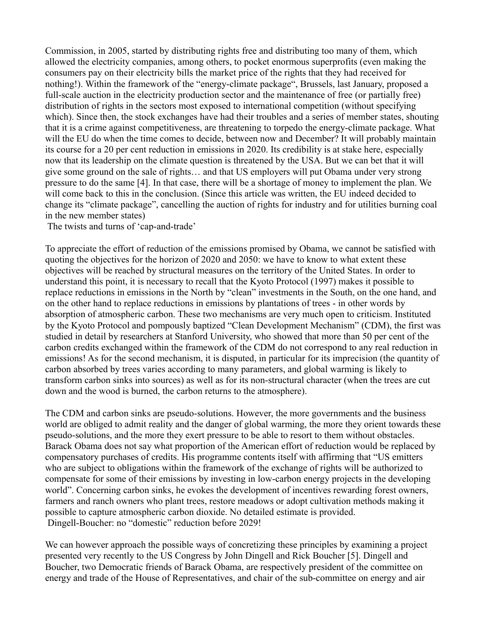Commission, in 2005, started by distributing rights free and distributing too many of them, which allowed the electricity companies, among others, to pocket enormous superprofits (even making the consumers pay on their electricity bills the market price of the rights that they had received for nothing!). Within the framework of the "energy-climate package", Brussels, last January, proposed a full-scale auction in the electricity production sector and the maintenance of free (or partially free) distribution of rights in the sectors most exposed to international competition (without specifying which). Since then, the stock exchanges have had their troubles and a series of member states, shouting that it is a crime against competitiveness, are threatening to torpedo the energy-climate package. What will the EU do when the time comes to decide, between now and December? It will probably maintain its course for a 20 per cent reduction in emissions in 2020. Its credibility is at stake here, especially now that its leadership on the climate question is threatened by the USA. But we can bet that it will give some ground on the sale of rights… and that US employers will put Obama under very strong pressure to do the same [4]. In that case, there will be a shortage of money to implement the plan. We will come back to this in the conclusion. (Since this article was written, the EU indeed decided to change its "climate package", cancelling the auction of rights for industry and for utilities burning coal in the new member states)

The twists and turns of 'cap-and-trade'

To appreciate the effort of reduction of the emissions promised by Obama, we cannot be satisfied with quoting the objectives for the horizon of 2020 and 2050: we have to know to what extent these objectives will be reached by structural measures on the territory of the United States. In order to understand this point, it is necessary to recall that the Kyoto Protocol (1997) makes it possible to replace reductions in emissions in the North by "clean" investments in the South, on the one hand, and on the other hand to replace reductions in emissions by plantations of trees - in other words by absorption of atmospheric carbon. These two mechanisms are very much open to criticism. Instituted by the Kyoto Protocol and pompously baptized "Clean Development Mechanism" (CDM), the first was studied in detail by researchers at Stanford University, who showed that more than 50 per cent of the carbon credits exchanged within the framework of the CDM do not correspond to any real reduction in emissions! As for the second mechanism, it is disputed, in particular for its imprecision (the quantity of carbon absorbed by trees varies according to many parameters, and global warming is likely to transform carbon sinks into sources) as well as for its non-structural character (when the trees are cut down and the wood is burned, the carbon returns to the atmosphere).

The CDM and carbon sinks are pseudo-solutions. However, the more governments and the business world are obliged to admit reality and the danger of global warming, the more they orient towards these pseudo-solutions, and the more they exert pressure to be able to resort to them without obstacles. Barack Obama does not say what proportion of the American effort of reduction would be replaced by compensatory purchases of credits. His programme contents itself with affirming that "US emitters who are subject to obligations within the framework of the exchange of rights will be authorized to compensate for some of their emissions by investing in low-carbon energy projects in the developing world". Concerning carbon sinks, he evokes the development of incentives rewarding forest owners, farmers and ranch owners who plant trees, restore meadows or adopt cultivation methods making it possible to capture atmospheric carbon dioxide. No detailed estimate is provided. Dingell-Boucher: no "domestic" reduction before 2029!

We can however approach the possible ways of concretizing these principles by examining a project presented very recently to the US Congress by John Dingell and Rick Boucher [5]. Dingell and Boucher, two Democratic friends of Barack Obama, are respectively president of the committee on energy and trade of the House of Representatives, and chair of the sub-committee on energy and air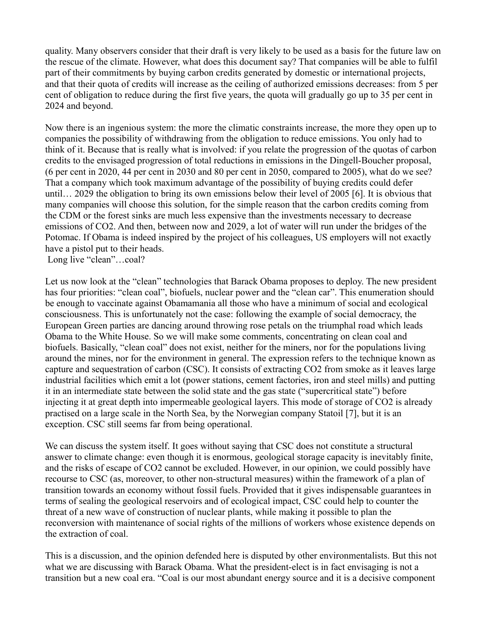quality. Many observers consider that their draft is very likely to be used as a basis for the future law on the rescue of the climate. However, what does this document say? That companies will be able to fulfil part of their commitments by buying carbon credits generated by domestic or international projects, and that their quota of credits will increase as the ceiling of authorized emissions decreases: from 5 per cent of obligation to reduce during the first five years, the quota will gradually go up to 35 per cent in 2024 and beyond.

Now there is an ingenious system: the more the climatic constraints increase, the more they open up to companies the possibility of withdrawing from the obligation to reduce emissions. You only had to think of it. Because that is really what is involved: if you relate the progression of the quotas of carbon credits to the envisaged progression of total reductions in emissions in the Dingell-Boucher proposal, (6 per cent in 2020, 44 per cent in 2030 and 80 per cent in 2050, compared to 2005), what do we see? That a company which took maximum advantage of the possibility of buying credits could defer until… 2029 the obligation to bring its own emissions below their level of 2005 [6]. It is obvious that many companies will choose this solution, for the simple reason that the carbon credits coming from the CDM or the forest sinks are much less expensive than the investments necessary to decrease emissions of CO2. And then, between now and 2029, a lot of water will run under the bridges of the Potomac. If Obama is indeed inspired by the project of his colleagues, US employers will not exactly have a pistol put to their heads. Long live "clean"...coal?

Let us now look at the "clean" technologies that Barack Obama proposes to deploy. The new president has four priorities: "clean coal", biofuels, nuclear power and the "clean car". This enumeration should be enough to vaccinate against Obamamania all those who have a minimum of social and ecological consciousness. This is unfortunately not the case: following the example of social democracy, the European Green parties are dancing around throwing rose petals on the triumphal road which leads Obama to the White House. So we will make some comments, concentrating on clean coal and biofuels. Basically, "clean coal" does not exist, neither for the miners, nor for the populations living around the mines, nor for the environment in general. The expression refers to the technique known as capture and sequestration of carbon (CSC). It consists of extracting CO2 from smoke as it leaves large industrial facilities which emit a lot (power stations, cement factories, iron and steel mills) and putting it in an intermediate state between the solid state and the gas state ("supercritical state") before injecting it at great depth into impermeable geological layers. This mode of storage of CO2 is already practised on a large scale in the North Sea, by the Norwegian company Statoil [7], but it is an exception. CSC still seems far from being operational.

We can discuss the system itself. It goes without saying that CSC does not constitute a structural answer to climate change: even though it is enormous, geological storage capacity is inevitably finite, and the risks of escape of CO2 cannot be excluded. However, in our opinion, we could possibly have recourse to CSC (as, moreover, to other non-structural measures) within the framework of a plan of transition towards an economy without fossil fuels. Provided that it gives indispensable guarantees in terms of sealing the geological reservoirs and of ecological impact, CSC could help to counter the threat of a new wave of construction of nuclear plants, while making it possible to plan the reconversion with maintenance of social rights of the millions of workers whose existence depends on the extraction of coal.

This is a discussion, and the opinion defended here is disputed by other environmentalists. But this not what we are discussing with Barack Obama. What the president-elect is in fact envisaging is not a transition but a new coal era. "Coal is our most abundant energy source and it is a decisive component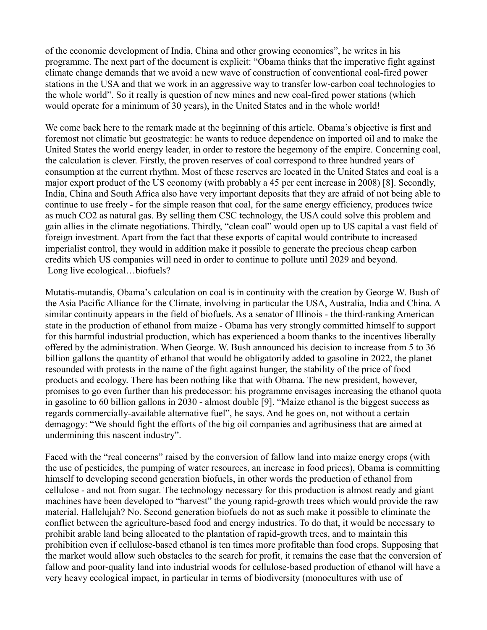of the economic development of India, China and other growing economies", he writes in his programme. The next part of the document is explicit: "Obama thinks that the imperative fight against climate change demands that we avoid a new wave of construction of conventional coal-fired power stations in the USA and that we work in an aggressive way to transfer low-carbon coal technologies to the whole world". So it really is question of new mines and new coal-fired power stations (which would operate for a minimum of 30 years), in the United States and in the whole world!

We come back here to the remark made at the beginning of this article. Obama's objective is first and foremost not climatic but geostrategic: he wants to reduce dependence on imported oil and to make the United States the world energy leader, in order to restore the hegemony of the empire. Concerning coal, the calculation is clever. Firstly, the proven reserves of coal correspond to three hundred years of consumption at the current rhythm. Most of these reserves are located in the United States and coal is a major export product of the US economy (with probably a 45 per cent increase in 2008) [8]. Secondly, India, China and South Africa also have very important deposits that they are afraid of not being able to continue to use freely - for the simple reason that coal, for the same energy efficiency, produces twice as much CO2 as natural gas. By selling them CSC technology, the USA could solve this problem and gain allies in the climate negotiations. Thirdly, "clean coal" would open up to US capital a vast field of foreign investment. Apart from the fact that these exports of capital would contribute to increased imperialist control, they would in addition make it possible to generate the precious cheap carbon credits which US companies will need in order to continue to pollute until 2029 and beyond. Long live ecological...biofuels?

Mutatis-mutandis, Obama's calculation on coal is in continuity with the creation by George W. Bush of the Asia Pacific Alliance for the Climate, involving in particular the USA, Australia, India and China. A similar continuity appears in the field of biofuels. As a senator of Illinois - the third-ranking American state in the production of ethanol from maize - Obama has very strongly committed himself to support for this harmful industrial production, which has experienced a boom thanks to the incentives liberally offered by the administration. When George. W. Bush announced his decision to increase from 5 to 36 billion gallons the quantity of ethanol that would be obligatorily added to gasoline in 2022, the planet resounded with protests in the name of the fight against hunger, the stability of the price of food products and ecology. There has been nothing like that with Obama. The new president, however, promises to go even further than his predecessor: his programme envisages increasing the ethanol quota in gasoline to 60 billion gallons in 2030 - almost double [9]. "Maize ethanol is the biggest success as regards commercially-available alternative fuel", he says. And he goes on, not without a certain demagogy: "We should fight the efforts of the big oil companies and agribusiness that are aimed at undermining this nascent industry".

Faced with the "real concerns" raised by the conversion of fallow land into maize energy crops (with the use of pesticides, the pumping of water resources, an increase in food prices), Obama is committing himself to developing second generation biofuels, in other words the production of ethanol from cellulose - and not from sugar. The technology necessary for this production is almost ready and giant machines have been developed to "harvest" the young rapid-growth trees which would provide the raw material. Hallelujah? No. Second generation biofuels do not as such make it possible to eliminate the conflict between the agriculture-based food and energy industries. To do that, it would be necessary to prohibit arable land being allocated to the plantation of rapid-growth trees, and to maintain this prohibition even if cellulose-based ethanol is ten times more profitable than food crops. Supposing that the market would allow such obstacles to the search for profit, it remains the case that the conversion of fallow and poor-quality land into industrial woods for cellulose-based production of ethanol will have a very heavy ecological impact, in particular in terms of biodiversity (monocultures with use of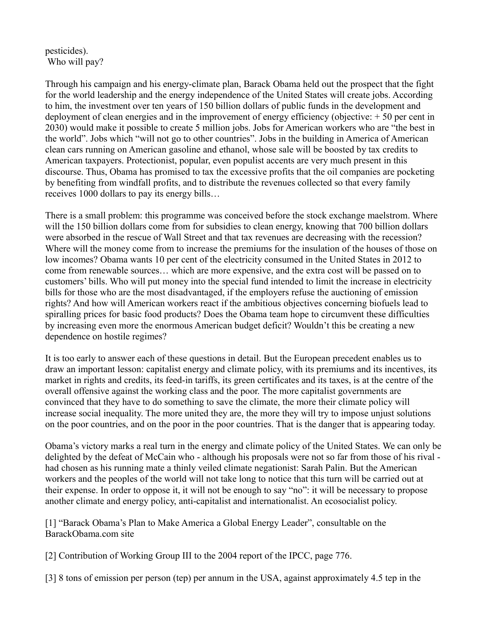pesticides). Who will pay?

Through his campaign and his energy-climate plan, Barack Obama held out the prospect that the fight for the world leadership and the energy independence of the United States will create jobs. According to him, the investment over ten years of 150 billion dollars of public funds in the development and deployment of clean energies and in the improvement of energy efficiency (objective: + 50 per cent in 2030) would make it possible to create 5 million jobs. Jobs for American workers who are "the best in the world". Jobs which "will not go to other countries". Jobs in the building in America of American clean cars running on American gasoline and ethanol, whose sale will be boosted by tax credits to American taxpayers. Protectionist, popular, even populist accents are very much present in this discourse. Thus, Obama has promised to tax the excessive profits that the oil companies are pocketing by benefiting from windfall profits, and to distribute the revenues collected so that every family receives 1000 dollars to pay its energy bills…

There is a small problem: this programme was conceived before the stock exchange maelstrom. Where will the 150 billion dollars come from for subsidies to clean energy, knowing that 700 billion dollars were absorbed in the rescue of Wall Street and that tax revenues are decreasing with the recession? Where will the money come from to increase the premiums for the insulation of the houses of those on low incomes? Obama wants 10 per cent of the electricity consumed in the United States in 2012 to come from renewable sources… which are more expensive, and the extra cost will be passed on to customers' bills. Who will put money into the special fund intended to limit the increase in electricity bills for those who are the most disadvantaged, if the employers refuse the auctioning of emission rights? And how will American workers react if the ambitious objectives concerning biofuels lead to spiralling prices for basic food products? Does the Obama team hope to circumvent these difficulties by increasing even more the enormous American budget deficit? Wouldn't this be creating a new dependence on hostile regimes?

It is too early to answer each of these questions in detail. But the European precedent enables us to draw an important lesson: capitalist energy and climate policy, with its premiums and its incentives, its market in rights and credits, its feed-in tariffs, its green certificates and its taxes, is at the centre of the overall offensive against the working class and the poor. The more capitalist governments are convinced that they have to do something to save the climate, the more their climate policy will increase social inequality. The more united they are, the more they will try to impose unjust solutions on the poor countries, and on the poor in the poor countries. That is the danger that is appearing today.

Obama's victory marks a real turn in the energy and climate policy of the United States. We can only be delighted by the defeat of McCain who - although his proposals were not so far from those of his rival had chosen as his running mate a thinly veiled climate negationist: Sarah Palin. But the American workers and the peoples of the world will not take long to notice that this turn will be carried out at their expense. In order to oppose it, it will not be enough to say "no": it will be necessary to propose another climate and energy policy, anti-capitalist and internationalist. An ecosocialist policy.

[1] "Barack Obama's Plan to Make America a Global Energy Leader", consultable on the BarackObama.com site

[2] Contribution of Working Group III to the 2004 report of the IPCC, page 776.

[3] 8 tons of emission per person (tep) per annum in the USA, against approximately 4.5 tep in the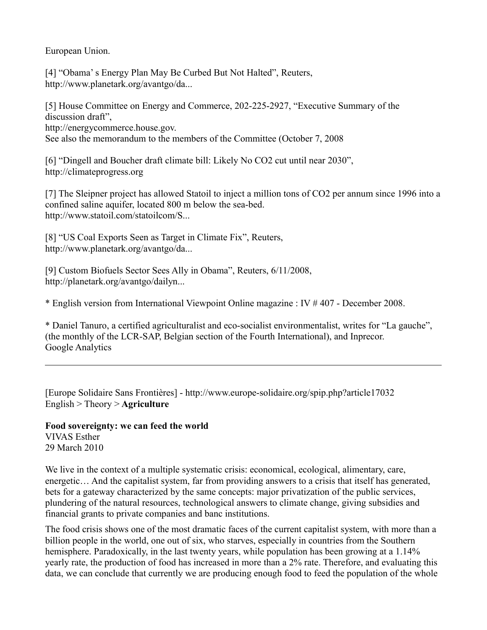European Union.

[4] "Obama' s Energy Plan May Be Curbed But Not Halted", Reuters, http://www.planetark.org/avantgo/da...

[5] House Committee on Energy and Commerce, 202-225-2927, "Executive Summary of the discussion draft",

http://energycommerce.house.gov.

See also the memorandum to the members of the Committee (October 7, 2008

[6] "Dingell and Boucher draft climate bill: Likely No CO2 cut until near 2030", http://climateprogress.org

[7] The Sleipner project has allowed Statoil to inject a million tons of CO2 per annum since 1996 into a confined saline aquifer, located 800 m below the sea-bed. http://www.statoil.com/statoilcom/S...

[8] "US Coal Exports Seen as Target in Climate Fix", Reuters, http://www.planetark.org/avantgo/da...

[9] Custom Biofuels Sector Sees Ally in Obama", Reuters, 6/11/2008, http://planetark.org/avantgo/dailyn...

\* English version from International Viewpoint Online magazine : IV # 407 - December 2008.

\* Daniel Tanuro, a certified agriculturalist and eco-socialist environmentalist, writes for "La gauche", (the monthly of the LCR-SAP, Belgian section of the Fourth International), and Inprecor. Google Analytics

[Europe Solidaire Sans Frontières] - http://www.europe-solidaire.org/spip.php?article17032 English > Theory > **Agriculture**

**Food sovereignty: we can feed the world** VIVAS Esther 29 March 2010

We live in the context of a multiple systematic crisis: economical, ecological, alimentary, care, energetic… And the capitalist system, far from providing answers to a crisis that itself has generated, bets for a gateway characterized by the same concepts: major privatization of the public services, plundering of the natural resources, technological answers to climate change, giving subsidies and financial grants to private companies and banc institutions.

The food crisis shows one of the most dramatic faces of the current capitalist system, with more than a billion people in the world, one out of six, who starves, especially in countries from the Southern hemisphere. Paradoxically, in the last twenty years, while population has been growing at a 1.14% yearly rate, the production of food has increased in more than a 2% rate. Therefore, and evaluating this data, we can conclude that currently we are producing enough food to feed the population of the whole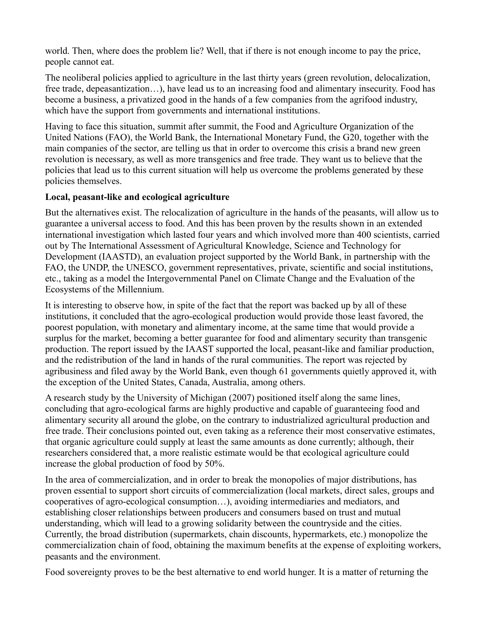world. Then, where does the problem lie? Well, that if there is not enough income to pay the price, people cannot eat.

The neoliberal policies applied to agriculture in the last thirty years (green revolution, delocalization, free trade, depeasantization…), have lead us to an increasing food and alimentary insecurity. Food has become a business, a privatized good in the hands of a few companies from the agrifood industry, which have the support from governments and international institutions.

Having to face this situation, summit after summit, the Food and Agriculture Organization of the United Nations (FAO), the World Bank, the International Monetary Fund, the G20, together with the main companies of the sector, are telling us that in order to overcome this crisis a brand new green revolution is necessary, as well as more transgenics and free trade. They want us to believe that the policies that lead us to this current situation will help us overcome the problems generated by these policies themselves.

#### **Local, peasant-like and ecological agriculture**

But the alternatives exist. The relocalization of agriculture in the hands of the peasants, will allow us to guarantee a universal access to food. And this has been proven by the results shown in an extended international investigation which lasted four years and which involved more than 400 scientists, carried out by The International Assessment of Agricultural Knowledge, Science and Technology for Development (IAASTD), an evaluation project supported by the World Bank, in partnership with the FAO, the UNDP, the UNESCO, government representatives, private, scientific and social institutions, etc., taking as a model the Intergovernmental Panel on Climate Change and the Evaluation of the Ecosystems of the Millennium.

It is interesting to observe how, in spite of the fact that the report was backed up by all of these institutions, it concluded that the agro-ecological production would provide those least favored, the poorest population, with monetary and alimentary income, at the same time that would provide a surplus for the market, becoming a better guarantee for food and alimentary security than transgenic production. The report issued by the IAAST supported the local, peasant-like and familiar production, and the redistribution of the land in hands of the rural communities. The report was rejected by agribusiness and filed away by the World Bank, even though 61 governments quietly approved it, with the exception of the United States, Canada, Australia, among others.

A research study by the University of Michigan (2007) positioned itself along the same lines, concluding that agro-ecological farms are highly productive and capable of guaranteeing food and alimentary security all around the globe, on the contrary to industrialized agricultural production and free trade. Their conclusions pointed out, even taking as a reference their most conservative estimates, that organic agriculture could supply at least the same amounts as done currently; although, their researchers considered that, a more realistic estimate would be that ecological agriculture could increase the global production of food by 50%.

In the area of commercialization, and in order to break the monopolies of major distributions, has proven essential to support short circuits of commercialization (local markets, direct sales, groups and cooperatives of agro-ecological consumption…), avoiding intermediaries and mediators, and establishing closer relationships between producers and consumers based on trust and mutual understanding, which will lead to a growing solidarity between the countryside and the cities. Currently, the broad distribution (supermarkets, chain discounts, hypermarkets, etc.) monopolize the commercialization chain of food, obtaining the maximum benefits at the expense of exploiting workers, peasants and the environment.

Food sovereignty proves to be the best alternative to end world hunger. It is a matter of returning the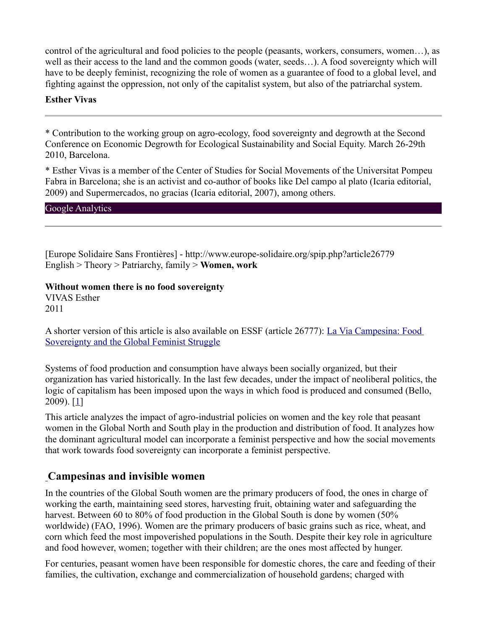control of the agricultural and food policies to the people (peasants, workers, consumers, women…), as well as their access to the land and the common goods (water, seeds…). A food sovereignty which will have to be deeply feminist, recognizing the role of women as a guarantee of food to a global level, and fighting against the oppression, not only of the capitalist system, but also of the patriarchal system.

#### **Esther Vivas**

\* Contribution to the working group on agro-ecology, food sovereignty and degrowth at the Second Conference on Economic Degrowth for Ecological Sustainability and Social Equity. March 26-29th 2010, Barcelona.

\* Esther Vivas is a member of the Center of Studies for Social Movements of the Universitat Pompeu Fabra in Barcelona; she is an activist and co-author of books like Del campo al plato (Icaria editorial, 2009) and Supermercados, no gracias (Icaria editorial, 2007), among others.

Google Analytics

[Europe Solidaire Sans Frontières] - http://www.europe-solidaire.org/spip.php?article26779 English > Theory > Patriarchy, family > **Women, work**

**Without women there is no food sovereignty**

VIVAS Esther 2011

A shorter version of this article is also available on ESSF (article 26777): [La Via Campesina: Food](http://www.europe-solidaire.org/spip.php?article26777)  [Sovereignty and the Global Feminist Struggle](http://www.europe-solidaire.org/spip.php?article26777)

Systems of food production and consumption have always been socially organized, but their organization has varied historically. In the last few decades, under the impact of neoliberal politics, the logic of capitalism has been imposed upon the ways in which food is produced and consumed (Bello, 2009). [\[1\]](http://www.europe-solidaire.org/spip.php?page=article_impr&id_article=26779#nb1)

This article analyzes the impact of agro-industrial policies on women and the key role that peasant women in the Global North and South play in the production and distribution of food. It analyzes how the dominant agricultural model can incorporate a feminist perspective and how the social movements that work towards food sovereignty can incorporate a feminist perspective.

## **[C](http://www.europe-solidaire.org/spip.php?page=article_impr&id_article=26779#outil_sommaire)ampesinas and invisible women**

In the countries of the Global South women are the primary producers of food, the ones in charge of working the earth, maintaining seed stores, harvesting fruit, obtaining water and safeguarding the harvest. Between 60 to 80% of food production in the Global South is done by women (50%) worldwide) (FAO, 1996). Women are the primary producers of basic grains such as rice, wheat, and corn which feed the most impoverished populations in the South. Despite their key role in agriculture and food however, women; together with their children; are the ones most affected by hunger.

For centuries, peasant women have been responsible for domestic chores, the care and feeding of their families, the cultivation, exchange and commercialization of household gardens; charged with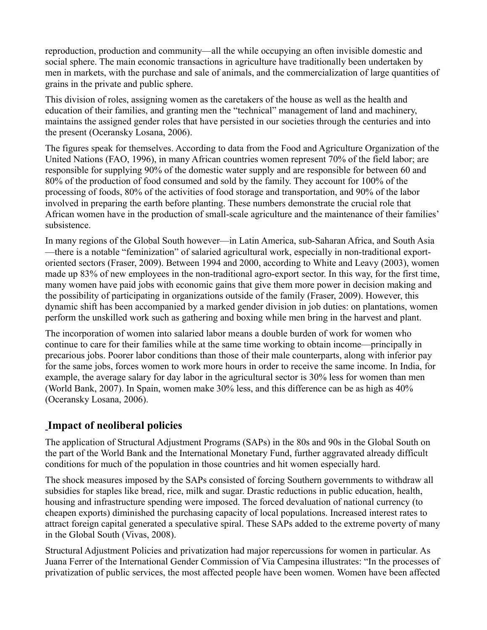reproduction, production and community—all the while occupying an often invisible domestic and social sphere. The main economic transactions in agriculture have traditionally been undertaken by men in markets, with the purchase and sale of animals, and the commercialization of large quantities of grains in the private and public sphere.

This division of roles, assigning women as the caretakers of the house as well as the health and education of their families, and granting men the "technical" management of land and machinery, maintains the assigned gender roles that have persisted in our societies through the centuries and into the present (Oceransky Losana, 2006).

The figures speak for themselves. According to data from the Food and Agriculture Organization of the United Nations (FAO, 1996), in many African countries women represent 70% of the field labor; are responsible for supplying 90% of the domestic water supply and are responsible for between 60 and 80% of the production of food consumed and sold by the family. They account for 100% of the processing of foods, 80% of the activities of food storage and transportation, and 90% of the labor involved in preparing the earth before planting. These numbers demonstrate the crucial role that African women have in the production of small-scale agriculture and the maintenance of their families' subsistence.

In many regions of the Global South however—in Latin America, sub-Saharan Africa, and South Asia —there is a notable "feminization" of salaried agricultural work, especially in non-traditional exportoriented sectors (Fraser, 2009). Between 1994 and 2000, according to White and Leavy (2003), women made up 83% of new employees in the non-traditional agro-export sector. In this way, for the first time, many women have paid jobs with economic gains that give them more power in decision making and the possibility of participating in organizations outside of the family (Fraser, 2009). However, this dynamic shift has been accompanied by a marked gender division in job duties: on plantations, women perform the unskilled work such as gathering and boxing while men bring in the harvest and plant.

The incorporation of women into salaried labor means a double burden of work for women who continue to care for their families while at the same time working to obtain income—principally in precarious jobs. Poorer labor conditions than those of their male counterparts, along with inferior pay for the same jobs, forces women to work more hours in order to receive the same income. In India, for example, the average salary for day labor in the agricultural sector is 30% less for women than men (World Bank, 2007). In Spain, women make 30% less, and this difference can be as high as 40% (Oceransky Losana, 2006).

## **[I](http://www.europe-solidaire.org/spip.php?page=article_impr&id_article=26779#outil_sommaire)mpact of neoliberal policies**

The application of Structural Adjustment Programs (SAPs) in the 80s and 90s in the Global South on the part of the World Bank and the International Monetary Fund, further aggravated already difficult conditions for much of the population in those countries and hit women especially hard.

The shock measures imposed by the SAPs consisted of forcing Southern governments to withdraw all subsidies for staples like bread, rice, milk and sugar. Drastic reductions in public education, health, housing and infrastructure spending were imposed. The forced devaluation of national currency (to cheapen exports) diminished the purchasing capacity of local populations. Increased interest rates to attract foreign capital generated a speculative spiral. These SAPs added to the extreme poverty of many in the Global South (Vivas, 2008).

Structural Adjustment Policies and privatization had major repercussions for women in particular. As Juana Ferrer of the International Gender Commission of Via Campesina illustrates: "In the processes of privatization of public services, the most affected people have been women. Women have been affected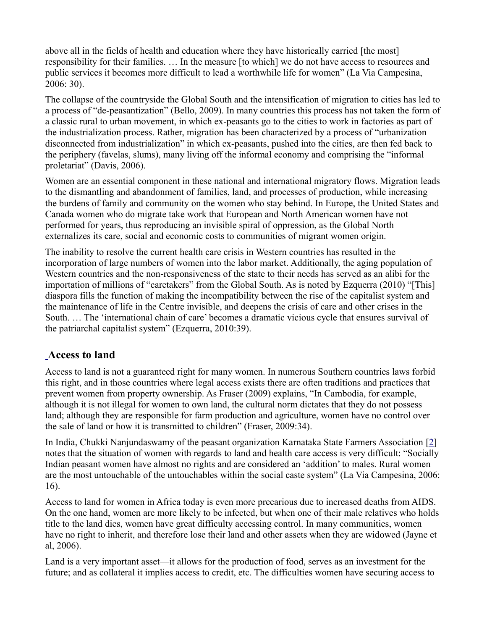above all in the fields of health and education where they have historically carried [the most] responsibility for their families. … In the measure [to which] we do not have access to resources and public services it becomes more difficult to lead a worthwhile life for women" (La Via Campesina, 2006: 30).

The collapse of the countryside the Global South and the intensification of migration to cities has led to a process of "de-peasantization" (Bello, 2009). In many countries this process has not taken the form of a classic rural to urban movement, in which ex-peasants go to the cities to work in factories as part of the industrialization process. Rather, migration has been characterized by a process of "urbanization disconnected from industrialization" in which ex-peasants, pushed into the cities, are then fed back to the periphery (favelas, slums), many living off the informal economy and comprising the "informal proletariat" (Davis, 2006).

Women are an essential component in these national and international migratory flows. Migration leads to the dismantling and abandonment of families, land, and processes of production, while increasing the burdens of family and community on the women who stay behind. In Europe, the United States and Canada women who do migrate take work that European and North American women have not performed for years, thus reproducing an invisible spiral of oppression, as the Global North externalizes its care, social and economic costs to communities of migrant women origin.

The inability to resolve the current health care crisis in Western countries has resulted in the incorporation of large numbers of women into the labor market. Additionally, the aging population of Western countries and the non-responsiveness of the state to their needs has served as an alibi for the importation of millions of "caretakers" from the Global South. As is noted by Ezquerra (2010) "[This] diaspora fills the function of making the incompatibility between the rise of the capitalist system and the maintenance of life in the Centre invisible, and deepens the crisis of care and other crises in the South. … The 'international chain of care' becomes a dramatic vicious cycle that ensures survival of the patriarchal capitalist system" (Ezquerra, 2010:39).

## **[A](http://www.europe-solidaire.org/spip.php?page=article_impr&id_article=26779#outil_sommaire)ccess to land**

Access to land is not a guaranteed right for many women. In numerous Southern countries laws forbid this right, and in those countries where legal access exists there are often traditions and practices that prevent women from property ownership. As Fraser (2009) explains, "In Cambodia, for example, although it is not illegal for women to own land, the cultural norm dictates that they do not possess land; although they are responsible for farm production and agriculture, women have no control over the sale of land or how it is transmitted to children" (Fraser, 2009:34).

In India, Chukki Nanjundaswamy of the peasant organization Karnataka State Farmers Association [\[2\]](http://www.europe-solidaire.org/spip.php?page=article_impr&id_article=26779#nb2) notes that the situation of women with regards to land and health care access is very difficult: "Socially Indian peasant women have almost no rights and are considered an 'addition' to males. Rural women are the most untouchable of the untouchables within the social caste system" (La Via Campesina, 2006: 16).

Access to land for women in Africa today is even more precarious due to increased deaths from AIDS. On the one hand, women are more likely to be infected, but when one of their male relatives who holds title to the land dies, women have great difficulty accessing control. In many communities, women have no right to inherit, and therefore lose their land and other assets when they are widowed (Jayne et al, 2006).

Land is a very important asset—it allows for the production of food, serves as an investment for the future; and as collateral it implies access to credit, etc. The difficulties women have securing access to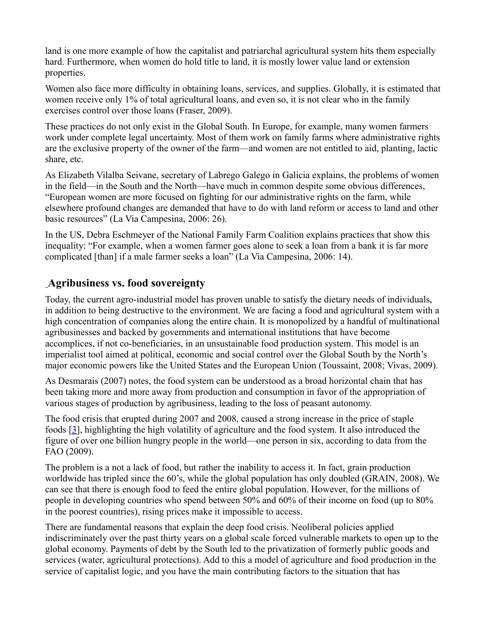land is one more example of how the capitalist and patriarchal agricultural system hits them especially hard. Furthermore, when women do hold title to land, it is mostly lower value land or extension properties.

Women also face more difficulty in obtaining loans, services, and supplies. Globally, it is estimated that women receive only 1% of total agricultural loans, and even so, it is not clear who in the family exercises control over those loans (Fraser, 2009).

These practices do not only exist in the Global South. In Europe, for example, many women farmers work under complete legal uncertainty. Most of them work on family farms where administrative rights are the exclusive property of the owner of the farm—and women are not entitled to aid, planting, lactic share, etc.

As Elizabeth Vilalba Seivane, secretary of Labrego Galego in Galicia explains, the problems of women in the field—in the South and the North—have much in common despite some obvious differences, "European women are more focused on fighting for our administrative rights on the farm, while elsewhere profound changes are demanded that have to do with land reform or access to land and other basic resources" (La Via Campesina, 2006: 26).

In the US, Debra Eschmeyer of the National Family Farm Coalition explains practices that show this inequality: "For example, when a women farmer goes alone to seek a loan from a bank it is far more complicated [than] if a male farmer seeks a loan" (La Via Campesina, 2006: 14).

## **[A](http://www.europe-solidaire.org/spip.php?page=article_impr&id_article=26779#outil_sommaire)gribusiness vs. food sovereignty**

Today, the current agro-industrial model has proven unable to satisfy the dietary needs of individuals, in addition to being destructive to the environment. We are facing a food and agricultural system with a high concentration of companies along the entire chain. It is monopolized by a handful of multinational agribusinesses and backed by governments and international institutions that have become accomplices, if not co-beneficiaries, in an unsustainable food production system. This model is an imperialist tool aimed at political, economic and social control over the Global South by the North's major economic powers like the United States and the European Union (Toussaint, 2008; Vivas, 2009).

As Desmarais (2007) notes, the food system can be understood as a broad horizontal chain that has been taking more and more away from production and consumption in favor of the appropriation of various stages of production by agribusiness, leading to the loss of peasant autonomy.

The food crisis that erupted during 2007 and 2008, caused a strong increase in the price of staple foods [\[3\]](http://www.europe-solidaire.org/spip.php?page=article_impr&id_article=26779#nb3), highlighting the high volatility of agriculture and the food system. It also introduced the figure of over one billion hungry people in the world—one person in six, according to data from the FAO (2009).

The problem is a not a lack of food, but rather the inability to access it. In fact, grain production worldwide has tripled since the 60's, while the global population has only doubled (GRAIN, 2008). We can see that there is enough food to feed the entire global population. However, for the millions of people in developing countries who spend between 50% and 60% of their income on food (up to 80% in the poorest countries), rising prices make it impossible to access.

There are fundamental reasons that explain the deep food crisis. Neoliberal policies applied indiscriminately over the past thirty years on a global scale forced vulnerable markets to open up to the global economy. Payments of debt by the South led to the privatization of formerly public goods and services (water, agricultural protections). Add to this a model of agriculture and food production in the service of capitalist logic, and you have the main contributing factors to the situation that has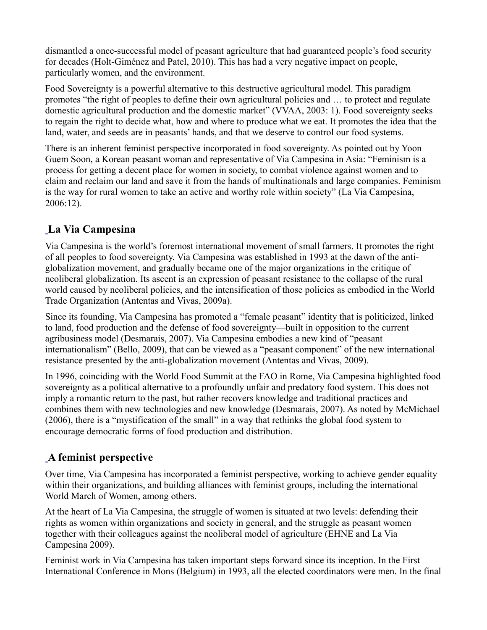dismantled a once-successful model of peasant agriculture that had guaranteed people's food security for decades (Holt-Giménez and Patel, 2010). This has had a very negative impact on people, particularly women, and the environment.

Food Sovereignty is a powerful alternative to this destructive agricultural model. This paradigm promotes "the right of peoples to define their own agricultural policies and … to protect and regulate domestic agricultural production and the domestic market" (VVAA, 2003: 1). Food sovereignty seeks to regain the right to decide what, how and where to produce what we eat. It promotes the idea that the land, water, and seeds are in peasants' hands, and that we deserve to control our food systems.

There is an inherent feminist perspective incorporated in food sovereignty. As pointed out by Yoon Guem Soon, a Korean peasant woman and representative of Via Campesina in Asia: "Feminism is a process for getting a decent place for women in society, to combat violence against women and to claim and reclaim our land and save it from the hands of multinationals and large companies. Feminism is the way for rural women to take an active and worthy role within society" (La Via Campesina, 2006:12).

## **[L](http://www.europe-solidaire.org/spip.php?page=article_impr&id_article=26779#outil_sommaire)a Via Campesina**

Via Campesina is the world's foremost international movement of small farmers. It promotes the right of all peoples to food sovereignty. Via Campesina was established in 1993 at the dawn of the antiglobalization movement, and gradually became one of the major organizations in the critique of neoliberal globalization. Its ascent is an expression of peasant resistance to the collapse of the rural world caused by neoliberal policies, and the intensification of those policies as embodied in the World Trade Organization (Antentas and Vivas, 2009a).

Since its founding, Via Campesina has promoted a "female peasant" identity that is politicized, linked to land, food production and the defense of food sovereignty—built in opposition to the current agribusiness model (Desmarais, 2007). Via Campesina embodies a new kind of "peasant internationalism" (Bello, 2009), that can be viewed as a "peasant component" of the new international resistance presented by the anti-globalization movement (Antentas and Vivas, 2009).

In 1996, coinciding with the World Food Summit at the FAO in Rome, Via Campesina highlighted food sovereignty as a political alternative to a profoundly unfair and predatory food system. This does not imply a romantic return to the past, but rather recovers knowledge and traditional practices and combines them with new technologies and new knowledge (Desmarais, 2007). As noted by McMichael (2006), there is a "mystification of the small" in a way that rethinks the global food system to encourage democratic forms of food production and distribution.

## **[A](http://www.europe-solidaire.org/spip.php?page=article_impr&id_article=26779#outil_sommaire) feminist perspective**

Over time, Via Campesina has incorporated a feminist perspective, working to achieve gender equality within their organizations, and building alliances with feminist groups, including the international World March of Women, among others.

At the heart of La Via Campesina, the struggle of women is situated at two levels: defending their rights as women within organizations and society in general, and the struggle as peasant women together with their colleagues against the neoliberal model of agriculture (EHNE and La Via Campesina 2009).

Feminist work in Via Campesina has taken important steps forward since its inception. In the First International Conference in Mons (Belgium) in 1993, all the elected coordinators were men. In the final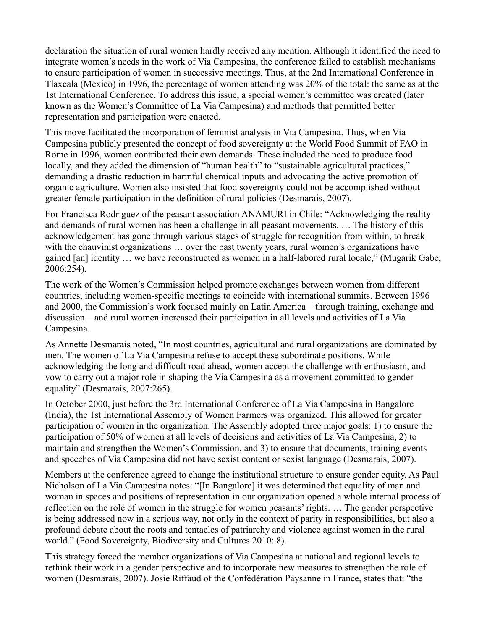declaration the situation of rural women hardly received any mention. Although it identified the need to integrate women's needs in the work of Via Campesina, the conference failed to establish mechanisms to ensure participation of women in successive meetings. Thus, at the 2nd International Conference in Tlaxcala (Mexico) in 1996, the percentage of women attending was 20% of the total: the same as at the 1st International Conference. To address this issue, a special women's committee was created (later known as the Women's Committee of La Via Campesina) and methods that permitted better representation and participation were enacted.

This move facilitated the incorporation of feminist analysis in Via Campesina. Thus, when Via Campesina publicly presented the concept of food sovereignty at the World Food Summit of FAO in Rome in 1996, women contributed their own demands. These included the need to produce food locally, and they added the dimension of "human health" to "sustainable agricultural practices," demanding a drastic reduction in harmful chemical inputs and advocating the active promotion of organic agriculture. Women also insisted that food sovereignty could not be accomplished without greater female participation in the definition of rural policies (Desmarais, 2007).

For Francisca Rodriguez of the peasant association ANAMURI in Chile: "Acknowledging the reality and demands of rural women has been a challenge in all peasant movements. … The history of this acknowledgement has gone through various stages of struggle for recognition from within, to break with the chauvinist organizations ... over the past twenty years, rural women's organizations have gained [an] identity … we have reconstructed as women in a half-labored rural locale," (Mugarik Gabe, 2006:254).

The work of the Women's Commission helped promote exchanges between women from different countries, including women-specific meetings to coincide with international summits. Between 1996 and 2000, the Commission's work focused mainly on Latin America—through training, exchange and discussion—and rural women increased their participation in all levels and activities of La Via Campesina.

As Annette Desmarais noted, "In most countries, agricultural and rural organizations are dominated by men. The women of La Via Campesina refuse to accept these subordinate positions. While acknowledging the long and difficult road ahead, women accept the challenge with enthusiasm, and vow to carry out a major role in shaping the Via Campesina as a movement committed to gender equality" (Desmarais, 2007:265).

In October 2000, just before the 3rd International Conference of La Via Campesina in Bangalore (India), the 1st International Assembly of Women Farmers was organized. This allowed for greater participation of women in the organization. The Assembly adopted three major goals: 1) to ensure the participation of 50% of women at all levels of decisions and activities of La Via Campesina, 2) to maintain and strengthen the Women's Commission, and 3) to ensure that documents, training events and speeches of Via Campesina did not have sexist content or sexist language (Desmarais, 2007).

Members at the conference agreed to change the institutional structure to ensure gender equity. As Paul Nicholson of La Via Campesina notes: "[In Bangalore] it was determined that equality of man and woman in spaces and positions of representation in our organization opened a whole internal process of reflection on the role of women in the struggle for women peasants' rights. … The gender perspective is being addressed now in a serious way, not only in the context of parity in responsibilities, but also a profound debate about the roots and tentacles of patriarchy and violence against women in the rural world." (Food Sovereignty, Biodiversity and Cultures 2010: 8).

This strategy forced the member organizations of Via Campesina at national and regional levels to rethink their work in a gender perspective and to incorporate new measures to strengthen the role of women (Desmarais, 2007). Josie Riffaud of the Confédération Paysanne in France, states that: "the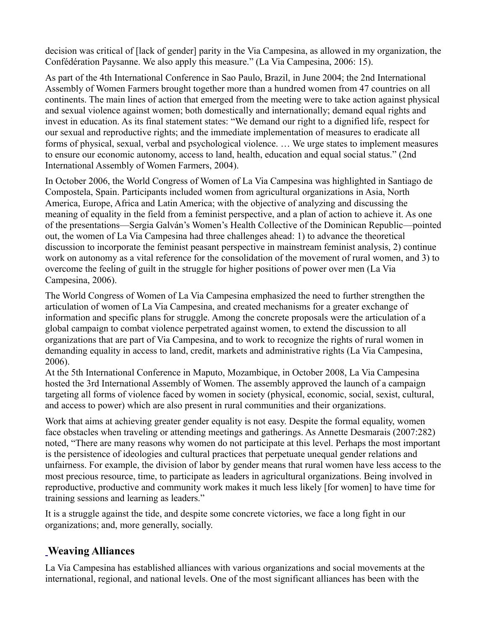decision was critical of [lack of gender] parity in the Via Campesina, as allowed in my organization, the Confédération Paysanne. We also apply this measure." (La Via Campesina, 2006: 15).

As part of the 4th International Conference in Sao Paulo, Brazil, in June 2004; the 2nd International Assembly of Women Farmers brought together more than a hundred women from 47 countries on all continents. The main lines of action that emerged from the meeting were to take action against physical and sexual violence against women; both domestically and internationally; demand equal rights and invest in education. As its final statement states: "We demand our right to a dignified life, respect for our sexual and reproductive rights; and the immediate implementation of measures to eradicate all forms of physical, sexual, verbal and psychological violence. … We urge states to implement measures to ensure our economic autonomy, access to land, health, education and equal social status." (2nd International Assembly of Women Farmers, 2004).

In October 2006, the World Congress of Women of La Via Campesina was highlighted in Santiago de Compostela, Spain. Participants included women from agricultural organizations in Asia, North America, Europe, Africa and Latin America; with the objective of analyzing and discussing the meaning of equality in the field from a feminist perspective, and a plan of action to achieve it. As one of the presentations—Sergia Galván's Women's Health Collective of the Dominican Republic—pointed out, the women of La Via Campesina had three challenges ahead: 1) to advance the theoretical discussion to incorporate the feminist peasant perspective in mainstream feminist analysis, 2) continue work on autonomy as a vital reference for the consolidation of the movement of rural women, and 3) to overcome the feeling of guilt in the struggle for higher positions of power over men (La Via Campesina, 2006).

The World Congress of Women of La Via Campesina emphasized the need to further strengthen the articulation of women of La Via Campesina, and created mechanisms for a greater exchange of information and specific plans for struggle. Among the concrete proposals were the articulation of a global campaign to combat violence perpetrated against women, to extend the discussion to all organizations that are part of Via Campesina, and to work to recognize the rights of rural women in demanding equality in access to land, credit, markets and administrative rights (La Via Campesina, 2006).

At the 5th International Conference in Maputo, Mozambique, in October 2008, La Via Campesina hosted the 3rd International Assembly of Women. The assembly approved the launch of a campaign targeting all forms of violence faced by women in society (physical, economic, social, sexist, cultural, and access to power) which are also present in rural communities and their organizations.

Work that aims at achieving greater gender equality is not easy. Despite the formal equality, women face obstacles when traveling or attending meetings and gatherings. As Annette Desmarais (2007:282) noted, "There are many reasons why women do not participate at this level. Perhaps the most important is the persistence of ideologies and cultural practices that perpetuate unequal gender relations and unfairness. For example, the division of labor by gender means that rural women have less access to the most precious resource, time, to participate as leaders in agricultural organizations. Being involved in reproductive, productive and community work makes it much less likely [for women] to have time for training sessions and learning as leaders."

It is a struggle against the tide, and despite some concrete victories, we face a long fight in our organizations; and, more generally, socially.

## **[W](http://www.europe-solidaire.org/spip.php?page=article_impr&id_article=26779#outil_sommaire)eaving Alliances**

La Via Campesina has established alliances with various organizations and social movements at the international, regional, and national levels. One of the most significant alliances has been with the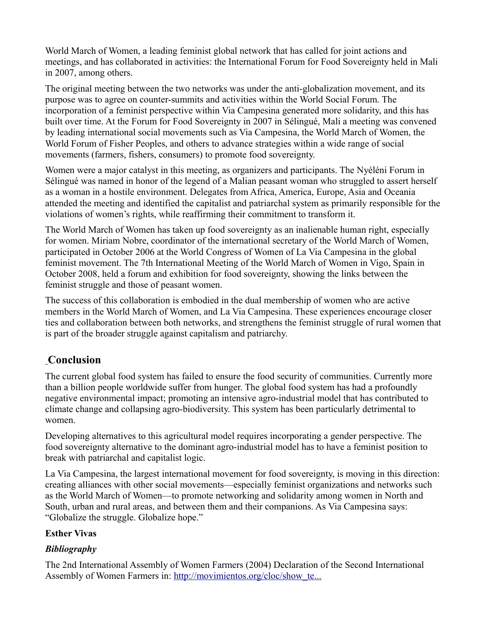World March of Women, a leading feminist global network that has called for joint actions and meetings, and has collaborated in activities: the International Forum for Food Sovereignty held in Mali in 2007, among others.

The original meeting between the two networks was under the anti-globalization movement, and its purpose was to agree on counter-summits and activities within the World Social Forum. The incorporation of a feminist perspective within Via Campesina generated more solidarity, and this has built over time. At the Forum for Food Sovereignty in 2007 in Sélingué, Mali a meeting was convened by leading international social movements such as Via Campesina, the World March of Women, the World Forum of Fisher Peoples, and others to advance strategies within a wide range of social movements (farmers, fishers, consumers) to promote food sovereignty.

Women were a major catalyst in this meeting, as organizers and participants. The Nyéléni Forum in Sélingué was named in honor of the legend of a Malian peasant woman who struggled to assert herself as a woman in a hostile environment. Delegates from Africa, America, Europe, Asia and Oceania attended the meeting and identified the capitalist and patriarchal system as primarily responsible for the violations of women's rights, while reaffirming their commitment to transform it.

The World March of Women has taken up food sovereignty as an inalienable human right, especially for women. Miriam Nobre, coordinator of the international secretary of the World March of Women, participated in October 2006 at the World Congress of Women of La Via Campesina in the global feminist movement. The 7th International Meeting of the World March of Women in Vigo, Spain in October 2008, held a forum and exhibition for food sovereignty, showing the links between the feminist struggle and those of peasant women.

The success of this collaboration is embodied in the dual membership of women who are active members in the World March of Women, and La Via Campesina. These experiences encourage closer ties and collaboration between both networks, and strengthens the feminist struggle of rural women that is part of the broader struggle against capitalism and patriarchy.

## **[C](http://www.europe-solidaire.org/spip.php?page=article_impr&id_article=26779#outil_sommaire)onclusion**

The current global food system has failed to ensure the food security of communities. Currently more than a billion people worldwide suffer from hunger. The global food system has had a profoundly negative environmental impact; promoting an intensive agro-industrial model that has contributed to climate change and collapsing agro-biodiversity. This system has been particularly detrimental to women.

Developing alternatives to this agricultural model requires incorporating a gender perspective. The food sovereignty alternative to the dominant agro-industrial model has to have a feminist position to break with patriarchal and capitalist logic.

La Via Campesina, the largest international movement for food sovereignty, is moving in this direction: creating alliances with other social movements—especially feminist organizations and networks such as the World March of Women—to promote networking and solidarity among women in North and South, urban and rural areas, and between them and their companions. As Via Campesina says: "Globalize the struggle. Globalize hope."

### **Esther Vivas**

## *Bibliography*

The 2nd International Assembly of Women Farmers (2004) Declaration of the Second International Assembly of Women Farmers in: [http://movimientos.org/cloc/show\\_te...](http://movimientos.org/cloc/show_text.php3?key=2903)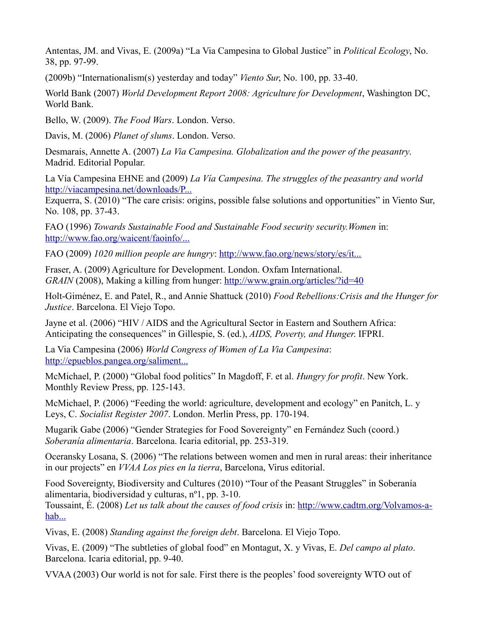Antentas, JM. and Vivas, E. (2009a) "La Via Campesina to Global Justice" in *Political Ecology*, No. 38, pp. 97-99.

(2009b) "Internationalism(s) yesterday and today" *Viento Sur*, No. 100, pp. 33-40.

World Bank (2007) *World Development Report 2008: Agriculture for Development*, Washington DC, World Bank.

Bello, W. (2009). *The Food Wars*. London. Verso.

Davis, M. (2006) *Planet of slums*. London. Verso.

Desmarais, Annette A. (2007) *La Via Campesina. Globalization and the power of the peasantry*. Madrid. Editorial Popular.

La Vía Campesina EHNE and (2009) *La Vía Campesina. The struggles of the peasantry and world* [http://viacampesina.net/downloads/P...](http://viacampesina.net/downloads/PDF/viacas.pdf)

Ezquerra, S. (2010) "The care crisis: origins, possible false solutions and opportunities" in Viento Sur, No. 108, pp. 37-43.

FAO (1996) *Towards Sustainable Food and Sustainable Food security security.Women* in: [http://www.fao.org/waicent/faoinfo/...](http://www.fao.org/waicent/faoinfo/SUSTDEV/FSdirect/FBdirect/FSP001.htm)

FAO (2009) *1020 million people are hungry*: [http://www.fao.org/news/story/es/it...](http://www.fao.org/news/story/es/item/20568/icode)

Fraser, A. (2009) Agriculture for Development. London. Oxfam International. *GRAIN* (2008), Making a killing from hunger:<http://www.grain.org/articles/?id=40>

Holt-Giménez, E. and Patel, R., and Annie Shattuck (2010) *Food Rebellions:Crisis and the Hunger for Justice*. Barcelona. El Viejo Topo.

Jayne et al. (2006) "HIV / AIDS and the Agricultural Sector in Eastern and Southern Africa: Anticipating the consequences" in Gillespie, S. (ed.), *AIDS, Poverty, and Hunger*. IFPRI.

La Via Campesina (2006) *World Congress of Women of La Via Campesina*: [http://epueblos.pangea.org/saliment...](http://epueblos.pangea.org/salimentaria/pairoses/documents/congreso_mundial_mulleres.pdf)

McMichael, P. (2000) "Global food politics" In Magdoff, F. et al. *Hungry for profit*. New York. Monthly Review Press, pp. 125-143.

McMichael, P. (2006) "Feeding the world: agriculture, development and ecology" en Panitch, L. y Leys, C. *Socialist Register 2007*. London. Merlin Press, pp. 170-194.

Mugarik Gabe (2006) "Gender Strategies for Food Sovereignty" en Fernández Such (coord.) *Soberanía alimentaria*. Barcelona. Icaria editorial, pp. 253-319.

Oceransky Losana, S. (2006) "The relations between women and men in rural areas: their inheritance in our projects" en *VVAA Los pies en la tierra*, Barcelona, Virus editorial.

Food Sovereignty, Biodiversity and Cultures (2010) "Tour of the Peasant Struggles" in Soberanía alimentaria, biodiversidad y culturas, nº1, pp. 3-10.

Toussaint, É. (2008) *Let us talk about the causes of food crisis* in: [http://www.cadtm.org/Volvamos-a](http://www.cadtm.org/Volvamos-a-hablar-de-las-causas-de)[hab...](http://www.cadtm.org/Volvamos-a-hablar-de-las-causas-de)

Vivas, E. (2008) *Standing against the foreign debt*. Barcelona. El Viejo Topo.

Vivas, E. (2009) "The subtleties of global food" en Montagut, X. y Vivas, E. *Del campo al plato*. Barcelona. Icaria editorial, pp. 9-40.

VVAA (2003) Our world is not for sale. First there is the peoples' food sovereignty WTO out of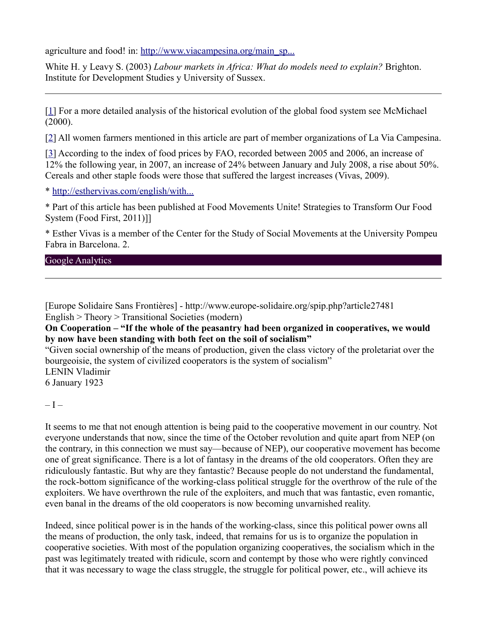agriculture and food! in: [http://www.viacampesina.org/main\\_sp...](http://www.viacampesina.org/main_sp/index2.php?option=com_content&do_pdf=1&id=345)

White H. y Leavy S. (2003) *Labour markets in Africa: What do models need to explain?* Brighton. Institute for Development Studies y University of Sussex.

[\[1\]](http://www.europe-solidaire.org/spip.php?page=article_impr&id_article=26779#nh1) For a more detailed analysis of the historical evolution of the global food system see McMichael (2000).

[\[2\]](http://www.europe-solidaire.org/spip.php?page=article_impr&id_article=26779#nh2) All women farmers mentioned in this article are part of member organizations of La Via Campesina.

[\[3\]](http://www.europe-solidaire.org/spip.php?page=article_impr&id_article=26779#nh3) According to the index of food prices by FAO, recorded between 2005 and 2006, an increase of 12% the following year, in 2007, an increase of 24% between January and July 2008, a rise about 50%. Cereals and other staple foods were those that suffered the largest increases (Vivas, 2009).

\* [http://esthervivas.com/english/with...](http://esthervivas.com/english/without-women-there-is-no-food-sovereignty/)

\* Part of this article has been published at Food Movements Unite! Strategies to Transform Our Food System (Food First, 2011)]]

\* Esther Vivas is a member of the Center for the Study of Social Movements at the University Pompeu Fabra in Barcelona. 2.

#### Google Analytics

[Europe Solidaire Sans Frontières] - http://www.europe-solidaire.org/spip.php?article27481 English > Theory > Transitional Societies (modern)

**On Cooperation – "If the whole of the peasantry had been organized in cooperatives, we would by now have been standing with both feet on the soil of socialism"**

"Given social ownership of the means of production, given the class victory of the proletariat over the bourgeoisie, the system of civilized cooperators is the system of socialism" LENIN Vladimir

6 January 1923

#### $-I -$

It seems to me that not enough attention is being paid to the cooperative movement in our country. Not everyone understands that now, since the time of the October revolution and quite apart from NEP (on the contrary, in this connection we must say—because of NEP), our cooperative movement has become one of great significance. There is a lot of fantasy in the dreams of the old cooperators. Often they are ridiculously fantastic. But why are they fantastic? Because people do not understand the fundamental, the rock-bottom significance of the working-class political struggle for the overthrow of the rule of the exploiters. We have overthrown the rule of the exploiters, and much that was fantastic, even romantic, even banal in the dreams of the old cooperators is now becoming unvarnished reality.

Indeed, since political power is in the hands of the working-class, since this political power owns all the means of production, the only task, indeed, that remains for us is to organize the population in cooperative societies. With most of the population organizing cooperatives, the socialism which in the past was legitimately treated with ridicule, scorn and contempt by those who were rightly convinced that it was necessary to wage the class struggle, the struggle for political power, etc., will achieve its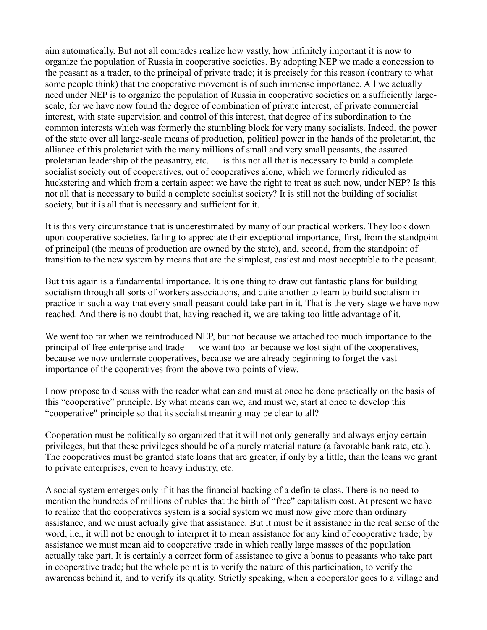aim automatically. But not all comrades realize how vastly, how infinitely important it is now to organize the population of Russia in cooperative societies. By adopting NEP we made a concession to the peasant as a trader, to the principal of private trade; it is precisely for this reason (contrary to what some people think) that the cooperative movement is of such immense importance. All we actually need under NEP is to organize the population of Russia in cooperative societies on a sufficiently largescale, for we have now found the degree of combination of private interest, of private commercial interest, with state supervision and control of this interest, that degree of its subordination to the common interests which was formerly the stumbling block for very many socialists. Indeed, the power of the state over all large-scale means of production, political power in the hands of the proletariat, the alliance of this proletariat with the many millions of small and very small peasants, the assured proletarian leadership of the peasantry, etc. — is this not all that is necessary to build a complete socialist society out of cooperatives, out of cooperatives alone, which we formerly ridiculed as huckstering and which from a certain aspect we have the right to treat as such now, under NEP? Is this not all that is necessary to build a complete socialist society? It is still not the building of socialist society, but it is all that is necessary and sufficient for it.

It is this very circumstance that is underestimated by many of our practical workers. They look down upon cooperative societies, failing to appreciate their exceptional importance, first, from the standpoint of principal (the means of production are owned by the state), and, second, from the standpoint of transition to the new system by means that are the simplest, easiest and most acceptable to the peasant.

But this again is a fundamental importance. It is one thing to draw out fantastic plans for building socialism through all sorts of workers associations, and quite another to learn to build socialism in practice in such a way that every small peasant could take part in it. That is the very stage we have now reached. And there is no doubt that, having reached it, we are taking too little advantage of it.

We went too far when we reintroduced NEP, but not because we attached too much importance to the principal of free enterprise and trade — we want too far because we lost sight of the cooperatives, because we now underrate cooperatives, because we are already beginning to forget the vast importance of the cooperatives from the above two points of view.

I now propose to discuss with the reader what can and must at once be done practically on the basis of this "cooperative" principle. By what means can we, and must we, start at once to develop this "cooperative" principle so that its socialist meaning may be clear to all?

Cooperation must be politically so organized that it will not only generally and always enjoy certain privileges, but that these privileges should be of a purely material nature (a favorable bank rate, etc.). The cooperatives must be granted state loans that are greater, if only by a little, than the loans we grant to private enterprises, even to heavy industry, etc.

A social system emerges only if it has the financial backing of a definite class. There is no need to mention the hundreds of millions of rubles that the birth of "free" capitalism cost. At present we have to realize that the cooperatives system is a social system we must now give more than ordinary assistance, and we must actually give that assistance. But it must be it assistance in the real sense of the word, i.e., it will not be enough to interpret it to mean assistance for any kind of cooperative trade; by assistance we must mean aid to cooperative trade in which really large masses of the population actually take part. It is certainly a correct form of assistance to give a bonus to peasants who take part in cooperative trade; but the whole point is to verify the nature of this participation, to verify the awareness behind it, and to verify its quality. Strictly speaking, when a cooperator goes to a village and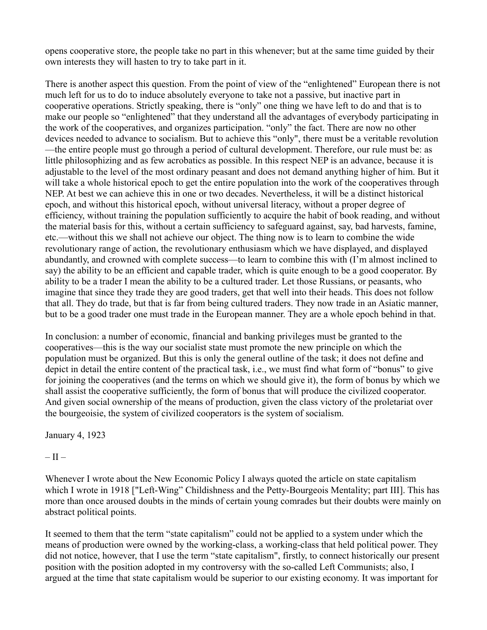opens cooperative store, the people take no part in this whenever; but at the same time guided by their own interests they will hasten to try to take part in it.

There is another aspect this question. From the point of view of the "enlightened" European there is not much left for us to do to induce absolutely everyone to take not a passive, but inactive part in cooperative operations. Strictly speaking, there is "only" one thing we have left to do and that is to make our people so "enlightened" that they understand all the advantages of everybody participating in the work of the cooperatives, and organizes participation. "only" the fact. There are now no other devices needed to advance to socialism. But to achieve this "only", there must be a veritable revolution —the entire people must go through a period of cultural development. Therefore, our rule must be: as little philosophizing and as few acrobatics as possible. In this respect NEP is an advance, because it is adjustable to the level of the most ordinary peasant and does not demand anything higher of him. But it will take a whole historical epoch to get the entire population into the work of the cooperatives through NEP. At best we can achieve this in one or two decades. Nevertheless, it will be a distinct historical epoch, and without this historical epoch, without universal literacy, without a proper degree of efficiency, without training the population sufficiently to acquire the habit of book reading, and without the material basis for this, without a certain sufficiency to safeguard against, say, bad harvests, famine, etc.—without this we shall not achieve our object. The thing now is to learn to combine the wide revolutionary range of action, the revolutionary enthusiasm which we have displayed, and displayed abundantly, and crowned with complete success—to learn to combine this with (I'm almost inclined to say) the ability to be an efficient and capable trader, which is quite enough to be a good cooperator. By ability to be a trader I mean the ability to be a cultured trader. Let those Russians, or peasants, who imagine that since they trade they are good traders, get that well into their heads. This does not follow that all. They do trade, but that is far from being cultured traders. They now trade in an Asiatic manner, but to be a good trader one must trade in the European manner. They are a whole epoch behind in that.

In conclusion: a number of economic, financial and banking privileges must be granted to the cooperatives—this is the way our socialist state must promote the new principle on which the population must be organized. But this is only the general outline of the task; it does not define and depict in detail the entire content of the practical task, i.e., we must find what form of "bonus" to give for joining the cooperatives (and the terms on which we should give it), the form of bonus by which we shall assist the cooperative sufficiently, the form of bonus that will produce the civilized cooperator. And given social ownership of the means of production, given the class victory of the proletariat over the bourgeoisie, the system of civilized cooperators is the system of socialism.

January 4, 1923

– II –

Whenever I wrote about the New Economic Policy I always quoted the article on state capitalism which I wrote in 1918 ["Left-Wing" Childishness and the Petty-Bourgeois Mentality; part III]. This has more than once aroused doubts in the minds of certain young comrades but their doubts were mainly on abstract political points.

It seemed to them that the term "state capitalism" could not be applied to a system under which the means of production were owned by the working-class, a working-class that held political power. They did not notice, however, that I use the term "state capitalism", firstly, to connect historically our present position with the position adopted in my controversy with the so-called Left Communists; also, I argued at the time that state capitalism would be superior to our existing economy. It was important for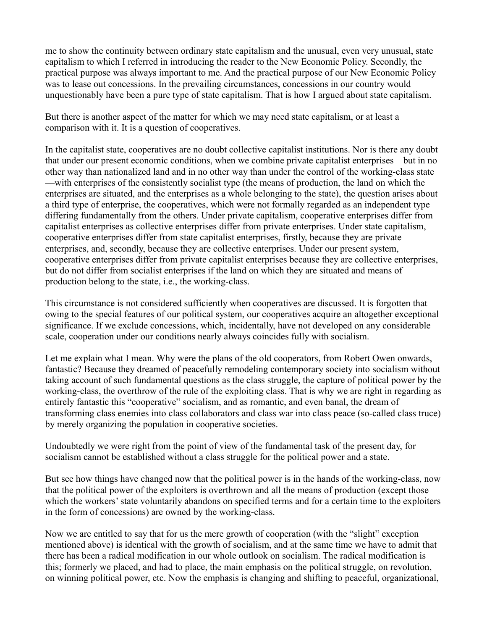me to show the continuity between ordinary state capitalism and the unusual, even very unusual, state capitalism to which I referred in introducing the reader to the New Economic Policy. Secondly, the practical purpose was always important to me. And the practical purpose of our New Economic Policy was to lease out concessions. In the prevailing circumstances, concessions in our country would unquestionably have been a pure type of state capitalism. That is how I argued about state capitalism.

But there is another aspect of the matter for which we may need state capitalism, or at least a comparison with it. It is a question of cooperatives.

In the capitalist state, cooperatives are no doubt collective capitalist institutions. Nor is there any doubt that under our present economic conditions, when we combine private capitalist enterprises—but in no other way than nationalized land and in no other way than under the control of the working-class state —with enterprises of the consistently socialist type (the means of production, the land on which the enterprises are situated, and the enterprises as a whole belonging to the state), the question arises about a third type of enterprise, the cooperatives, which were not formally regarded as an independent type differing fundamentally from the others. Under private capitalism, cooperative enterprises differ from capitalist enterprises as collective enterprises differ from private enterprises. Under state capitalism, cooperative enterprises differ from state capitalist enterprises, firstly, because they are private enterprises, and, secondly, because they are collective enterprises. Under our present system, cooperative enterprises differ from private capitalist enterprises because they are collective enterprises, but do not differ from socialist enterprises if the land on which they are situated and means of production belong to the state, i.e., the working-class.

This circumstance is not considered sufficiently when cooperatives are discussed. It is forgotten that owing to the special features of our political system, our cooperatives acquire an altogether exceptional significance. If we exclude concessions, which, incidentally, have not developed on any considerable scale, cooperation under our conditions nearly always coincides fully with socialism.

Let me explain what I mean. Why were the plans of the old cooperators, from Robert Owen onwards, fantastic? Because they dreamed of peacefully remodeling contemporary society into socialism without taking account of such fundamental questions as the class struggle, the capture of political power by the working-class, the overthrow of the rule of the exploiting class. That is why we are right in regarding as entirely fantastic this "cooperative" socialism, and as romantic, and even banal, the dream of transforming class enemies into class collaborators and class war into class peace (so-called class truce) by merely organizing the population in cooperative societies.

Undoubtedly we were right from the point of view of the fundamental task of the present day, for socialism cannot be established without a class struggle for the political power and a state.

But see how things have changed now that the political power is in the hands of the working-class, now that the political power of the exploiters is overthrown and all the means of production (except those which the workers' state voluntarily abandons on specified terms and for a certain time to the exploiters in the form of concessions) are owned by the working-class.

Now we are entitled to say that for us the mere growth of cooperation (with the "slight" exception mentioned above) is identical with the growth of socialism, and at the same time we have to admit that there has been a radical modification in our whole outlook on socialism. The radical modification is this; formerly we placed, and had to place, the main emphasis on the political struggle, on revolution, on winning political power, etc. Now the emphasis is changing and shifting to peaceful, organizational,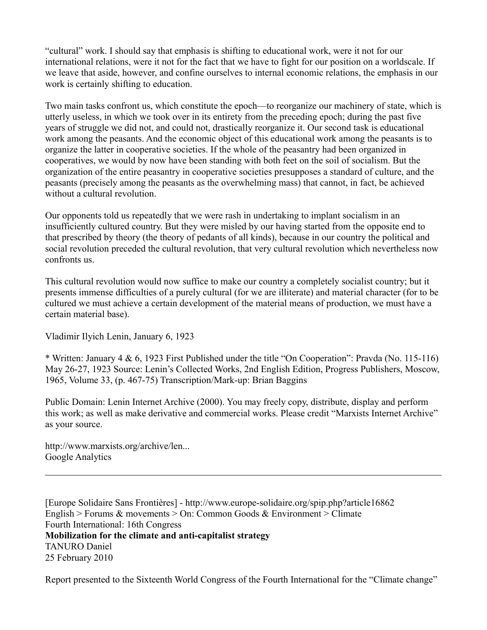"cultural" work. I should say that emphasis is shifting to educational work, were it not for our international relations, were it not for the fact that we have to fight for our position on a worldscale. If we leave that aside, however, and confine ourselves to internal economic relations, the emphasis in our work is certainly shifting to education.

Two main tasks confront us, which constitute the epoch—to reorganize our machinery of state, which is utterly useless, in which we took over in its entirety from the preceding epoch; during the past five years of struggle we did not, and could not, drastically reorganize it. Our second task is educational work among the peasants. And the economic object of this educational work among the peasants is to organize the latter in cooperative societies. If the whole of the peasantry had been organized in cooperatives, we would by now have been standing with both feet on the soil of socialism. But the organization of the entire peasantry in cooperative societies presupposes a standard of culture, and the peasants (precisely among the peasants as the overwhelming mass) that cannot, in fact, be achieved without a cultural revolution.

Our opponents told us repeatedly that we were rash in undertaking to implant socialism in an insufficiently cultured country. But they were misled by our having started from the opposite end to that prescribed by theory (the theory of pedants of all kinds), because in our country the political and social revolution preceded the cultural revolution, that very cultural revolution which nevertheless now confronts us.

This cultural revolution would now suffice to make our country a completely socialist country; but it presents immense difficulties of a purely cultural (for we are illiterate) and material character (for to be cultured we must achieve a certain development of the material means of production, we must have a certain material base).

Vladimir Ilyich Lenin, January 6, 1923

\* Written: January 4 & 6, 1923 First Published under the title "On Cooperation": Pravda (No. 115-116) May 26-27, 1923 Source: Lenin's Collected Works, 2nd English Edition, Progress Publishers, Moscow, 1965, Volume 33, (p. 467-75) Transcription/Mark-up: Brian Baggins

Public Domain: Lenin Internet Archive (2000). You may freely copy, distribute, display and perform this work; as well as make derivative and commercial works. Please credit "Marxists Internet Archive" as your source.

http://www.marxists.org/archive/len... Google Analytics

[Europe Solidaire Sans Frontières] - http://www.europe-solidaire.org/spip.php?article16862 English > Forums & movements > On: Common Goods & Environment > Climate Fourth International: 16th Congress **Mobilization for the climate and anti-capitalist strategy** TANURO Daniel 25 February 2010

Report presented to the Sixteenth World Congress of the Fourth International for the "Climate change"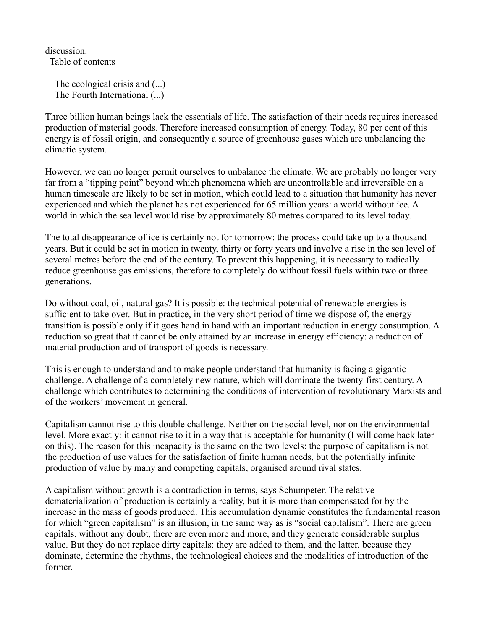discussion. Table of contents

> The ecological crisis and (...) The Fourth International (...)

Three billion human beings lack the essentials of life. The satisfaction of their needs requires increased production of material goods. Therefore increased consumption of energy. Today, 80 per cent of this energy is of fossil origin, and consequently a source of greenhouse gases which are unbalancing the climatic system.

However, we can no longer permit ourselves to unbalance the climate. We are probably no longer very far from a "tipping point" beyond which phenomena which are uncontrollable and irreversible on a human timescale are likely to be set in motion, which could lead to a situation that humanity has never experienced and which the planet has not experienced for 65 million years: a world without ice. A world in which the sea level would rise by approximately 80 metres compared to its level today.

The total disappearance of ice is certainly not for tomorrow: the process could take up to a thousand years. But it could be set in motion in twenty, thirty or forty years and involve a rise in the sea level of several metres before the end of the century. To prevent this happening, it is necessary to radically reduce greenhouse gas emissions, therefore to completely do without fossil fuels within two or three generations.

Do without coal, oil, natural gas? It is possible: the technical potential of renewable energies is sufficient to take over. But in practice, in the very short period of time we dispose of, the energy transition is possible only if it goes hand in hand with an important reduction in energy consumption. A reduction so great that it cannot be only attained by an increase in energy efficiency: a reduction of material production and of transport of goods is necessary.

This is enough to understand and to make people understand that humanity is facing a gigantic challenge. A challenge of a completely new nature, which will dominate the twenty-first century. A challenge which contributes to determining the conditions of intervention of revolutionary Marxists and of the workers' movement in general.

Capitalism cannot rise to this double challenge. Neither on the social level, nor on the environmental level. More exactly: it cannot rise to it in a way that is acceptable for humanity (I will come back later on this). The reason for this incapacity is the same on the two levels: the purpose of capitalism is not the production of use values for the satisfaction of finite human needs, but the potentially infinite production of value by many and competing capitals, organised around rival states.

A capitalism without growth is a contradiction in terms, says Schumpeter. The relative dematerialization of production is certainly a reality, but it is more than compensated for by the increase in the mass of goods produced. This accumulation dynamic constitutes the fundamental reason for which "green capitalism" is an illusion, in the same way as is "social capitalism". There are green capitals, without any doubt, there are even more and more, and they generate considerable surplus value. But they do not replace dirty capitals: they are added to them, and the latter, because they dominate, determine the rhythms, the technological choices and the modalities of introduction of the former.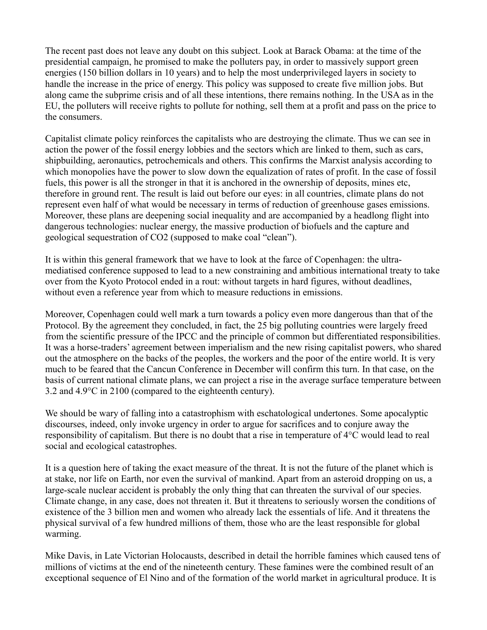The recent past does not leave any doubt on this subject. Look at Barack Obama: at the time of the presidential campaign, he promised to make the polluters pay, in order to massively support green energies (150 billion dollars in 10 years) and to help the most underprivileged layers in society to handle the increase in the price of energy. This policy was supposed to create five million jobs. But along came the subprime crisis and of all these intentions, there remains nothing. In the USA as in the EU, the polluters will receive rights to pollute for nothing, sell them at a profit and pass on the price to the consumers.

Capitalist climate policy reinforces the capitalists who are destroying the climate. Thus we can see in action the power of the fossil energy lobbies and the sectors which are linked to them, such as cars, shipbuilding, aeronautics, petrochemicals and others. This confirms the Marxist analysis according to which monopolies have the power to slow down the equalization of rates of profit. In the case of fossil fuels, this power is all the stronger in that it is anchored in the ownership of deposits, mines etc, therefore in ground rent. The result is laid out before our eyes: in all countries, climate plans do not represent even half of what would be necessary in terms of reduction of greenhouse gases emissions. Moreover, these plans are deepening social inequality and are accompanied by a headlong flight into dangerous technologies: nuclear energy, the massive production of biofuels and the capture and geological sequestration of CO2 (supposed to make coal "clean").

It is within this general framework that we have to look at the farce of Copenhagen: the ultramediatised conference supposed to lead to a new constraining and ambitious international treaty to take over from the Kyoto Protocol ended in a rout: without targets in hard figures, without deadlines, without even a reference year from which to measure reductions in emissions.

Moreover, Copenhagen could well mark a turn towards a policy even more dangerous than that of the Protocol. By the agreement they concluded, in fact, the 25 big polluting countries were largely freed from the scientific pressure of the IPCC and the principle of common but differentiated responsibilities. It was a horse-traders' agreement between imperialism and the new rising capitalist powers, who shared out the atmosphere on the backs of the peoples, the workers and the poor of the entire world. It is very much to be feared that the Cancun Conference in December will confirm this turn. In that case, on the basis of current national climate plans, we can project a rise in the average surface temperature between 3.2 and 4.9°C in 2100 (compared to the eighteenth century).

We should be wary of falling into a catastrophism with eschatological undertones. Some apocalyptic discourses, indeed, only invoke urgency in order to argue for sacrifices and to conjure away the responsibility of capitalism. But there is no doubt that a rise in temperature of 4°C would lead to real social and ecological catastrophes.

It is a question here of taking the exact measure of the threat. It is not the future of the planet which is at stake, nor life on Earth, nor even the survival of mankind. Apart from an asteroid dropping on us, a large-scale nuclear accident is probably the only thing that can threaten the survival of our species. Climate change, in any case, does not threaten it. But it threatens to seriously worsen the conditions of existence of the 3 billion men and women who already lack the essentials of life. And it threatens the physical survival of a few hundred millions of them, those who are the least responsible for global warming.

Mike Davis, in Late Victorian Holocausts, described in detail the horrible famines which caused tens of millions of victims at the end of the nineteenth century. These famines were the combined result of an exceptional sequence of El Nino and of the formation of the world market in agricultural produce. It is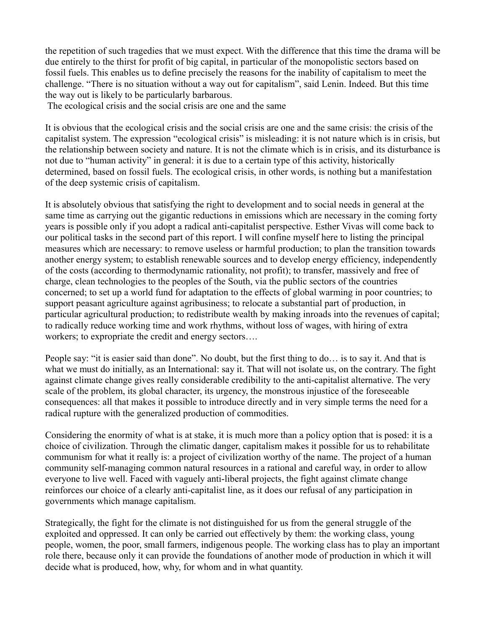the repetition of such tragedies that we must expect. With the difference that this time the drama will be due entirely to the thirst for profit of big capital, in particular of the monopolistic sectors based on fossil fuels. This enables us to define precisely the reasons for the inability of capitalism to meet the challenge. "There is no situation without a way out for capitalism", said Lenin. Indeed. But this time the way out is likely to be particularly barbarous.

The ecological crisis and the social crisis are one and the same

It is obvious that the ecological crisis and the social crisis are one and the same crisis: the crisis of the capitalist system. The expression "ecological crisis" is misleading: it is not nature which is in crisis, but the relationship between society and nature. It is not the climate which is in crisis, and its disturbance is not due to "human activity" in general: it is due to a certain type of this activity, historically determined, based on fossil fuels. The ecological crisis, in other words, is nothing but a manifestation of the deep systemic crisis of capitalism.

It is absolutely obvious that satisfying the right to development and to social needs in general at the same time as carrying out the gigantic reductions in emissions which are necessary in the coming forty years is possible only if you adopt a radical anti-capitalist perspective. Esther Vivas will come back to our political tasks in the second part of this report. I will confine myself here to listing the principal measures which are necessary: to remove useless or harmful production; to plan the transition towards another energy system; to establish renewable sources and to develop energy efficiency, independently of the costs (according to thermodynamic rationality, not profit); to transfer, massively and free of charge, clean technologies to the peoples of the South, via the public sectors of the countries concerned; to set up a world fund for adaptation to the effects of global warming in poor countries; to support peasant agriculture against agribusiness; to relocate a substantial part of production, in particular agricultural production; to redistribute wealth by making inroads into the revenues of capital; to radically reduce working time and work rhythms, without loss of wages, with hiring of extra workers; to expropriate the credit and energy sectors….

People say: "it is easier said than done". No doubt, but the first thing to do… is to say it. And that is what we must do initially, as an International: say it. That will not isolate us, on the contrary. The fight against climate change gives really considerable credibility to the anti-capitalist alternative. The very scale of the problem, its global character, its urgency, the monstrous injustice of the foreseeable consequences: all that makes it possible to introduce directly and in very simple terms the need for a radical rupture with the generalized production of commodities.

Considering the enormity of what is at stake, it is much more than a policy option that is posed: it is a choice of civilization. Through the climatic danger, capitalism makes it possible for us to rehabilitate communism for what it really is: a project of civilization worthy of the name. The project of a human community self-managing common natural resources in a rational and careful way, in order to allow everyone to live well. Faced with vaguely anti-liberal projects, the fight against climate change reinforces our choice of a clearly anti-capitalist line, as it does our refusal of any participation in governments which manage capitalism.

Strategically, the fight for the climate is not distinguished for us from the general struggle of the exploited and oppressed. It can only be carried out effectively by them: the working class, young people, women, the poor, small farmers, indigenous people. The working class has to play an important role there, because only it can provide the foundations of another mode of production in which it will decide what is produced, how, why, for whom and in what quantity.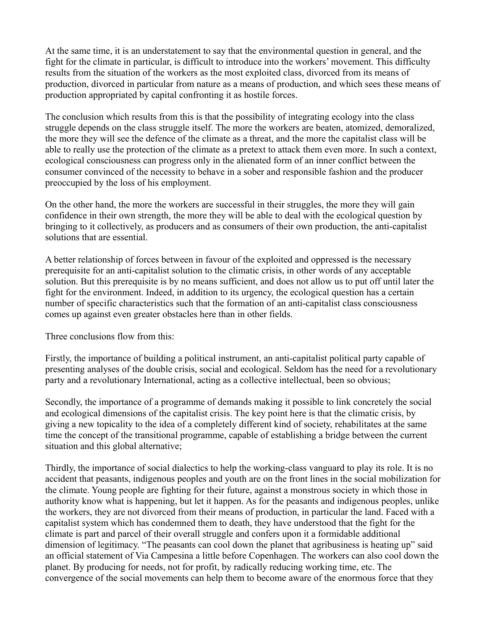At the same time, it is an understatement to say that the environmental question in general, and the fight for the climate in particular, is difficult to introduce into the workers' movement. This difficulty results from the situation of the workers as the most exploited class, divorced from its means of production, divorced in particular from nature as a means of production, and which sees these means of production appropriated by capital confronting it as hostile forces.

The conclusion which results from this is that the possibility of integrating ecology into the class struggle depends on the class struggle itself. The more the workers are beaten, atomized, demoralized, the more they will see the defence of the climate as a threat, and the more the capitalist class will be able to really use the protection of the climate as a pretext to attack them even more. In such a context, ecological consciousness can progress only in the alienated form of an inner conflict between the consumer convinced of the necessity to behave in a sober and responsible fashion and the producer preoccupied by the loss of his employment.

On the other hand, the more the workers are successful in their struggles, the more they will gain confidence in their own strength, the more they will be able to deal with the ecological question by bringing to it collectively, as producers and as consumers of their own production, the anti-capitalist solutions that are essential.

A better relationship of forces between in favour of the exploited and oppressed is the necessary prerequisite for an anti-capitalist solution to the climatic crisis, in other words of any acceptable solution. But this prerequisite is by no means sufficient, and does not allow us to put off until later the fight for the environment. Indeed, in addition to its urgency, the ecological question has a certain number of specific characteristics such that the formation of an anti-capitalist class consciousness comes up against even greater obstacles here than in other fields.

Three conclusions flow from this:

Firstly, the importance of building a political instrument, an anti-capitalist political party capable of presenting analyses of the double crisis, social and ecological. Seldom has the need for a revolutionary party and a revolutionary International, acting as a collective intellectual, been so obvious;

Secondly, the importance of a programme of demands making it possible to link concretely the social and ecological dimensions of the capitalist crisis. The key point here is that the climatic crisis, by giving a new topicality to the idea of a completely different kind of society, rehabilitates at the same time the concept of the transitional programme, capable of establishing a bridge between the current situation and this global alternative;

Thirdly, the importance of social dialectics to help the working-class vanguard to play its role. It is no accident that peasants, indigenous peoples and youth are on the front lines in the social mobilization for the climate. Young people are fighting for their future, against a monstrous society in which those in authority know what is happening, but let it happen. As for the peasants and indigenous peoples, unlike the workers, they are not divorced from their means of production, in particular the land. Faced with a capitalist system which has condemned them to death, they have understood that the fight for the climate is part and parcel of their overall struggle and confers upon it a formidable additional dimension of legitimacy. "The peasants can cool down the planet that agribusiness is heating up" said an official statement of Via Campesina a little before Copenhagen. The workers can also cool down the planet. By producing for needs, not for profit, by radically reducing working time, etc. The convergence of the social movements can help them to become aware of the enormous force that they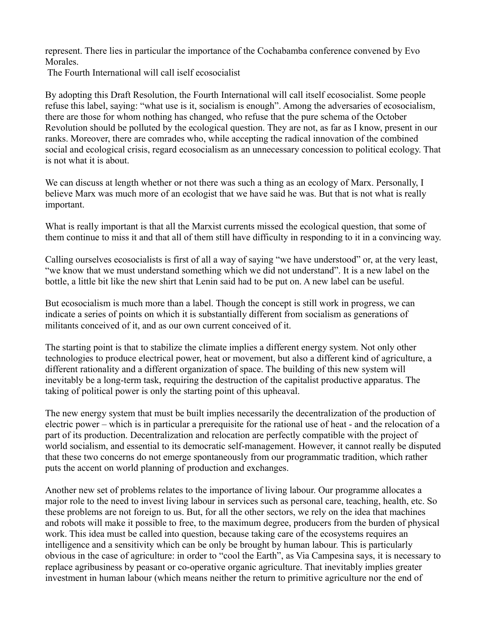represent. There lies in particular the importance of the Cochabamba conference convened by Evo Morales. The Fourth International will call iself ecosocialist

By adopting this Draft Resolution, the Fourth International will call itself ecosocialist. Some people refuse this label, saying: "what use is it, socialism is enough". Among the adversaries of ecosocialism, there are those for whom nothing has changed, who refuse that the pure schema of the October Revolution should be polluted by the ecological question. They are not, as far as I know, present in our ranks. Moreover, there are comrades who, while accepting the radical innovation of the combined social and ecological crisis, regard ecosocialism as an unnecessary concession to political ecology. That is not what it is about.

We can discuss at length whether or not there was such a thing as an ecology of Marx. Personally, I believe Marx was much more of an ecologist that we have said he was. But that is not what is really important.

What is really important is that all the Marxist currents missed the ecological question, that some of them continue to miss it and that all of them still have difficulty in responding to it in a convincing way.

Calling ourselves ecosocialists is first of all a way of saying "we have understood" or, at the very least, "we know that we must understand something which we did not understand". It is a new label on the bottle, a little bit like the new shirt that Lenin said had to be put on. A new label can be useful.

But ecosocialism is much more than a label. Though the concept is still work in progress, we can indicate a series of points on which it is substantially different from socialism as generations of militants conceived of it, and as our own current conceived of it.

The starting point is that to stabilize the climate implies a different energy system. Not only other technologies to produce electrical power, heat or movement, but also a different kind of agriculture, a different rationality and a different organization of space. The building of this new system will inevitably be a long-term task, requiring the destruction of the capitalist productive apparatus. The taking of political power is only the starting point of this upheaval.

The new energy system that must be built implies necessarily the decentralization of the production of electric power – which is in particular a prerequisite for the rational use of heat - and the relocation of a part of its production. Decentralization and relocation are perfectly compatible with the project of world socialism, and essential to its democratic self-management. However, it cannot really be disputed that these two concerns do not emerge spontaneously from our programmatic tradition, which rather puts the accent on world planning of production and exchanges.

Another new set of problems relates to the importance of living labour. Our programme allocates a major role to the need to invest living labour in services such as personal care, teaching, health, etc. So these problems are not foreign to us. But, for all the other sectors, we rely on the idea that machines and robots will make it possible to free, to the maximum degree, producers from the burden of physical work. This idea must be called into question, because taking care of the ecosystems requires an intelligence and a sensitivity which can be only be brought by human labour. This is particularly obvious in the case of agriculture: in order to "cool the Earth", as Via Campesina says, it is necessary to replace agribusiness by peasant or co-operative organic agriculture. That inevitably implies greater investment in human labour (which means neither the return to primitive agriculture nor the end of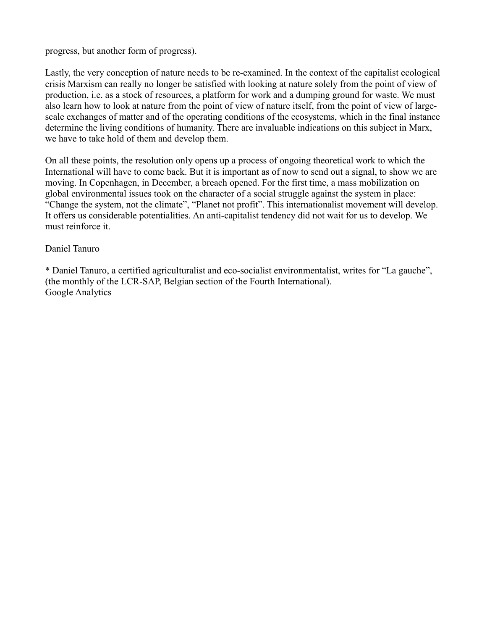progress, but another form of progress).

Lastly, the very conception of nature needs to be re-examined. In the context of the capitalist ecological crisis Marxism can really no longer be satisfied with looking at nature solely from the point of view of production, i.e. as a stock of resources, a platform for work and a dumping ground for waste. We must also learn how to look at nature from the point of view of nature itself, from the point of view of largescale exchanges of matter and of the operating conditions of the ecosystems, which in the final instance determine the living conditions of humanity. There are invaluable indications on this subject in Marx, we have to take hold of them and develop them.

On all these points, the resolution only opens up a process of ongoing theoretical work to which the International will have to come back. But it is important as of now to send out a signal, to show we are moving. In Copenhagen, in December, a breach opened. For the first time, a mass mobilization on global environmental issues took on the character of a social struggle against the system in place: "Change the system, not the climate", "Planet not profit". This internationalist movement will develop. It offers us considerable potentialities. An anti-capitalist tendency did not wait for us to develop. We must reinforce it.

#### Daniel Tanuro

\* Daniel Tanuro, a certified agriculturalist and eco-socialist environmentalist, writes for "La gauche", (the monthly of the LCR-SAP, Belgian section of the Fourth International). Google Analytics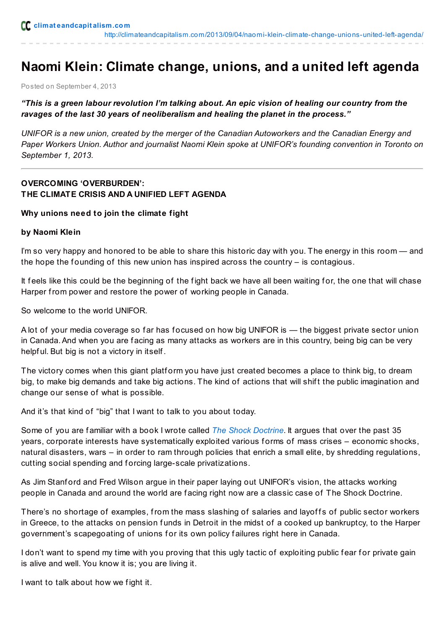## **Naomi Klein: Climate change, unions, and a united left agenda**

Posted on September 4, 2013

"This is a green labour revolution I'm talking about. An epic vision of healing our country from the *ravages of the last 30 years of neoliberalism and healing the planet in the process."*

UNIFOR is a new union, created by the merger of the Canadian Autoworkers and the Canadian Energy and *Paper Workers Union. Author and journalist Naomi Klein spoke at UNIFOR's founding convention in Toronto on September 1, 2013.*

#### **OVERCOMING 'OVERBURDEN': THE CLIMATE CRISIS AND A UNIFIED LEFT AGENDA**

#### **Why unions need to join the climate fight**

#### **by Naomi Klein**

I'm so very happy and honored to be able to share this historic day with you. The energy in this room — and the hope the founding of this new union has inspired across the country  $-$  is contagious.

It feels like this could be the beginning of the fight back we have all been waiting for, the one that will chase Harper from power and restore the power of working people in Canada.

So welcome to the world UNIFOR.

A lot of your media coverage so far has focused on how big UNIFOR is — the biggest private sector union in Canada.And when you are f acing as many attacks as workers are in this country, being big can be very helpf ul. But big is not a victory in itself .

The victory comes when this giant platform you have just created becomes a place to think big, to dream big, to make big demands and take big actions. The kind of actions that will shift the public imagination and change our sense of what is possible.

And it's that kind of "big" that I want to talk to you about today.

Some of you are f amiliar with a book I wrote called *The Shock [Doctrine](http://www.amazon.com/gp/product/0312427999?ie=UTF8&camp=1789&creativeASIN=0312427999&linkCode=xm2&tag=commondreams-20)*. It argues that over the past 35 years, corporate interests have systematically exploited various forms of mass crises - economic shocks, natural disasters, wars – in order to ram through policies that enrich a small elite, by shredding regulations, cutting social spending and forcing large-scale privatizations.

As Jim Stanf ord and Fred Wilson argue in their paper laying out UNIFOR's vision, the attacks working people in Canada and around the world are f acing right now are a classic case of The Shock Doctrine.

There's no shortage of examples, from the mass slashing of salaries and layoffs of public sector workers in Greece, to the attacks on pension f unds in Detroit in the midst of a cooked up bankruptcy, to the Harper government's scapegoating of unions for its own policy failures right here in Canada.

I don't want to spend my time with you proving that this ugly tactic of exploiting public fear for private gain is alive and well. You know it is; you are living it.

I want to talk about how we fight it.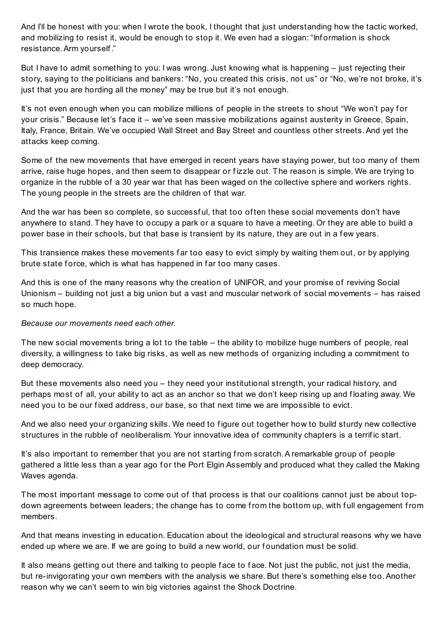And I'll be honest with you: when I wrote the book, I thought that just understanding how the tactic worked, and mobilizing to resist it, would be enough to stop it. We even had a slogan: "Information is shock resistance.Arm yourself ."

But I have to admit something to you: I was wrong. Just knowing what is happening – just rejecting their story, saying to the politicians and bankers: "No, you created this crisis, not us" or "No, we're not broke, it's just that you are hording all the money" may be true but it's not enough.

It's not even enough when you can mobilize millions of people in the streets to shout "We won't pay for your crisis." Because let's f ace it – we've seen massive mobilizations against austerity in Greece, Spain, Italy, France, Britain. We've occupied Wall Street and Bay Street and countless other streets.And yet the attacks keep coming.

Some of the new movements that have emerged in recent years have staying power, but too many of them arrive, raise huge hopes, and then seem to disappear or fizzle out. The reason is simple. We are trying to organize in the rubble of a 30 year war that has been waged on the collective sphere and workers rights. The young people in the streets are the children of that war.

And the war has been so complete, so successful, that too often these social movements don't have anywhere to stand. They have to occupy a park or a square to have a meeting. Or they are able to build a power base in their schools, but that base is transient by its nature, they are out in a few years.

This transience makes these movements far too easy to evict simply by waiting them out, or by applying brute state force, which is what has happened in far too many cases.

And this is one of the many reasons why the creation of UNIFOR, and your promise of reviving Social Unionism – building not just a big union but a vast and muscular network of social movements – has raised so much hope.

#### *Because our movements need each other.*

The new social movements bring a lot to the table – the ability to mobilize huge numbers of people, real diversity, a willingness to take big risks, as well as new methods of organizing including a commitment to deep democracy.

But these movements also need you – they need your institutional strength, your radical history, and perhaps most of all, your ability to act as an anchor so that we don't keep rising up and f loating away. We need you to be our fixed address, our base, so that next time we are impossible to evict.

And we also need your organizing skills. We need to f igure out together how to build sturdy new collective structures in the rubble of neoliberalism. Your innovative idea of community chapters is a terrific start.

It's also important to remember that you are not starting from scratch. A remarkable group of people gathered a little less than a year ago for the Port Elgin Assembly and produced what they called the Making Waves agenda.

The most important message to come out of that process is that our coalitions cannot just be about topdown agreements between leaders; the change has to come from the bottom up, with f ull engagement from members.

And that means investing in education. Education about the ideological and structural reasons why we have ended up where we are. If we are going to build a new world, our foundation must be solid.

It also means getting out there and talking to people face to face. Not just the public, not just the media, but re-invigorating your own members with the analysis we share. But there's something else too.Another reason why we can't seem to win big victories against the Shock Doctrine.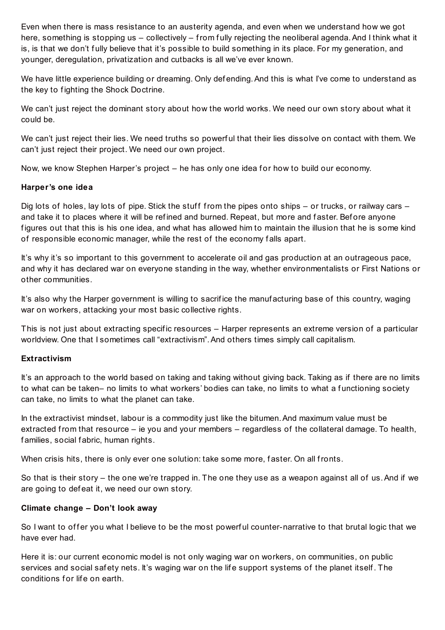Even when there is mass resistance to an austerity agenda, and even when we understand how we got here, something is stopping us – collectively – from fully rejecting the neoliberal agenda. And I think what it is, is that we don't fully believe that it's possible to build something in its place. For my generation, and younger, deregulation, privatization and cutbacks is all we've ever known.

We have little experience building or dreaming. Only defending. And this is what I've come to understand as the key to fighting the Shock Doctrine.

We can't just reject the dominant story about how the world works. We need our own story about what it could be.

We can't just reject their lies. We need truths so powerful that their lies dissolve on contact with them. We can't just reject their project. We need our own project.

Now, we know Stephen Harper's project – he has only one idea for how to build our economy.

#### **Harper's one idea**

Dig lots of holes, lay lots of pipe. Stick the stuff from the pipes onto ships – or trucks, or railway cars – and take it to places where it will be refined and burned. Repeat, but more and faster. Before anyone figures out that this is his one idea, and what has allowed him to maintain the illusion that he is some kind of responsible economic manager, while the rest of the economy f alls apart.

It's why it's so important to this government to accelerate oil and gas production at an outrageous pace, and why it has declared war on everyone standing in the way, whether environmentalists or First Nations or other communities.

It's also why the Harper government is willing to sacrif ice the manuf acturing base of this country, waging war on workers, attacking your most basic collective rights.

This is not just about extracting specif ic resources – Harper represents an extreme version of a particular worldview. One that I sometimes call "extractivism".And others times simply call capitalism.

#### **Extractivism**

It's an approach to the world based on taking and taking without giving back. Taking as if there are no limits to what can be taken– no limits to what workers' bodies can take, no limits to what a functioning society can take, no limits to what the planet can take.

In the extractivist mindset, labour is a commodity just like the bitumen. And maximum value must be extracted from that resource – ie you and your members – regardless of the collateral damage. To health, f amilies, social f abric, human rights.

When crisis hits, there is only ever one solution: take some more, faster. On all fronts.

So that is their story – the one we're trapped in. The one they use as a weapon against all of us.And if we are going to def eat it, we need our own story.

#### **Climate change – Don't look away**

So I want to offer you what I believe to be the most powerful counter-narrative to that brutal logic that we have ever had.

Here it is: our current economic model is not only waging war on workers, on communities, on public services and social safety nets. It's waging war on the life support systems of the planet itself. The conditions for life on earth.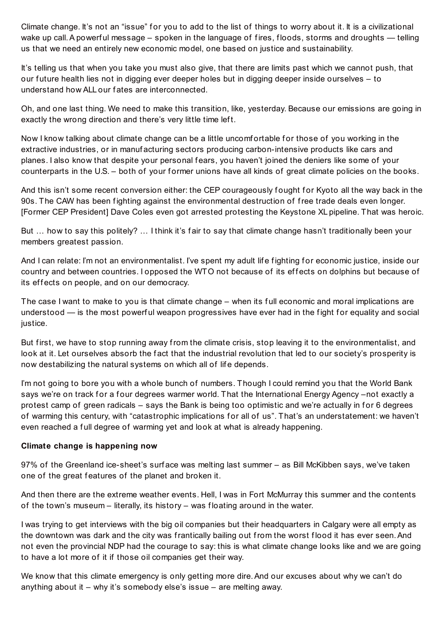Climate change. It's not an "issue" for you to add to the list of things to worry about it. It is a civilizational wake up call. A powerful message – spoken in the language of fires, floods, storms and droughts — telling us that we need an entirely new economic model, one based on justice and sustainability.

It's telling us that when you take you must also give, that there are limits past which we cannot push, that our f uture health lies not in digging ever deeper holes but in digging deeper inside ourselves – to understand how ALL our f ates are interconnected.

Oh, and one last thing. We need to make this transition, like, yesterday. Because our emissions are going in exactly the wrong direction and there's very little time left.

Now I know talking about climate change can be a little uncomf ortable f or those of you working in the extractive industries, or in manuf acturing sectors producing carbon-intensive products like cars and planes. I also know that despite your personal fears, you haven't joined the deniers like some of your counterparts in the U.S. - both of your former unions have all kinds of great climate policies on the books.

And this isn't some recent conversion either: the CEP courageously fought for Kyoto all the way back in the 90s. The CAW has been fighting against the environmental destruction of free trade deals even longer. [Former CEP President] Dave Coles even got arrested protesting the Keystone XL pipeline. That was heroic.

But ... how to say this politely? ... I think it's fair to say that climate change hasn't traditionally been your members greatest passion.

And I can relate: I'm not an environmentalist. I've spent my adult life fighting for economic justice, inside our country and between countries. I opposed the WTO not because of its effects on dolphins but because of its effects on people, and on our democracy.

The case I want to make to you is that climate change – when its f ull economic and moral implications are understood — is the most powerful weapon progressives have ever had in the fight for equality and social justice.

But first, we have to stop running away from the climate crisis, stop leaving it to the environmentalist, and look at it. Let ourselves absorb the fact that the industrial revolution that led to our society's prosperity is now destabilizing the natural systems on which all of life depends.

I'm not going to bore you with a whole bunch of numbers. Though I could remind you that the World Bank says we're on track for a four degrees warmer world. That the International Energy Agency –not exactly a protest camp of green radicals – says the Bank is being too optimistic and we're actually in for 6 degrees of warming this century, with "catastrophic implications for all of us". That's an understatement: we haven't even reached a full degree of warming yet and look at what is already happening.

#### **Climate change is happening now**

97% of the Greenland ice-sheet's surf ace was melting last summer – as Bill McKibben says, we've taken one of the great features of the planet and broken it.

And then there are the extreme weather events. Hell, I was in Fort McMurray this summer and the contents of the town's museum – literally, its history – was f loating around in the water.

I was trying to get interviews with the big oil companies but their headquarters in Calgary were all empty as the downtown was dark and the city was frantically bailing out from the worst flood it has ever seen. And not even the provincial NDP had the courage to say: this is what climate change looks like and we are going to have a lot more of it if those oil companies get their way.

We know that this climate emergency is only getting more dire. And our excuses about why we can't do anything about it – why it's somebody else's issue – are melting away.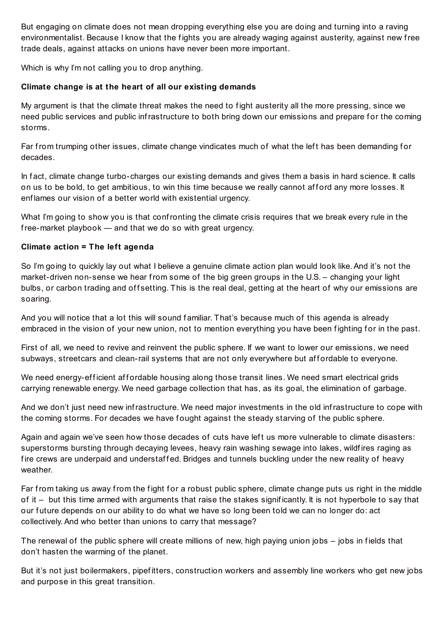But engaging on climate does not mean dropping everything else you are doing and turning into a raving environmentalist. Because I know that the f ights you are already waging against austerity, against new free trade deals, against attacks on unions have never been more important.

Which is why I'm not calling you to drop anything.

#### **Climate change is at the heart of all our existing demands**

My argument is that the climate threat makes the need to f ight austerity all the more pressing, since we need public services and public infrastructure to both bring down our emissions and prepare for the coming storms.

Far from trumping other issues, climate change vindicates much of what the left has been demanding for decades.

In f act, climate change turbo-charges our existing demands and gives them a basis in hard science. It calls on us to be bold, to get ambitious, to win this time because we really cannot afford any more losses. It enf lames our vision of a better world with existential urgency.

What I'm going to show you is that confronting the climate crisis requires that we break every rule in the free-market playbook — and that we do so with great urgency.

#### **Climate action = The left agenda**

So I'm going to quickly lay out what I believe a genuine climate action plan would look like.And it's not the market-driven non-sense we hear from some of the big green groups in the U.S. – changing your light bulbs, or carbon trading and off setting. This is the real deal, getting at the heart of why our emissions are soaring.

And you will notice that a lot this will sound familiar. That's because much of this agenda is already embraced in the vision of your new union, not to mention everything you have been fighting for in the past.

First of all, we need to revive and reinvent the public sphere. If we want to lower our emissions, we need subways, streetcars and clean-rail systems that are not only everywhere but affordable to everyone.

We need energy-efficient affordable housing along those transit lines. We need smart electrical grids carrying renewable energy. We need garbage collection that has, as its goal, the elimination of garbage.

And we don't just need new infrastructure. We need major investments in the old infrastructure to cope with the coming storms. For decades we have fought against the steady starving of the public sphere.

Again and again we've seen how those decades of cuts have left us more vulnerable to climate disasters: superstorms bursting through decaying levees, heavy rain washing sewage into lakes, wildf ires raging as fire crews are underpaid and understaffed. Bridges and tunnels buckling under the new reality of heavy weather.

Far from taking us away from the fight for a robust public sphere, climate change puts us right in the middle of it – but this time armed with arguments that raise the stakes signif icantly. It is not hyperbole to say that our future depends on our ability to do what we have so long been told we can no longer do: act collectively.And who better than unions to carry that message?

The renewal of the public sphere will create millions of new, high paying union jobs – jobs in fields that don't hasten the warming of the planet.

But it's not just boilermakers, pipef itters, construction workers and assembly line workers who get new jobs and purpose in this great transition.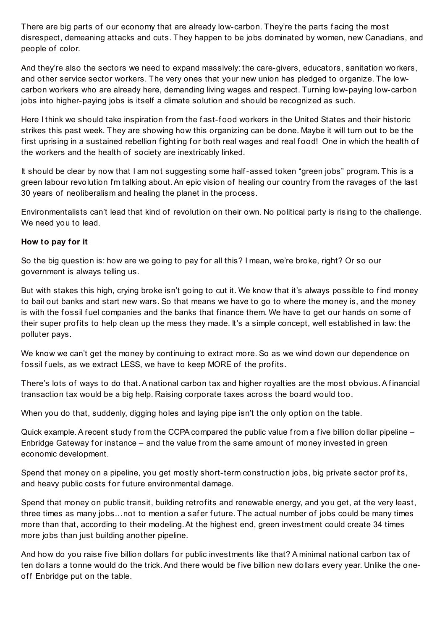There are big parts of our economy that are already low-carbon. They're the parts f acing the most disrespect, demeaning attacks and cuts. They happen to be jobs dominated by women, new Canadians, and people of color.

And they're also the sectors we need to expand massively: the care-givers, educators, sanitation workers, and other service sector workers. The very ones that your new union has pledged to organize. The lowcarbon workers who are already here, demanding living wages and respect. Turning low-paying low-carbon jobs into higher-paying jobs is itself a climate solution and should be recognized as such.

Here I think we should take inspiration from the fast-food workers in the United States and their historic strikes this past week. They are showing how this organizing can be done. Maybe it will turn out to be the first uprising in a sustained rebellion fighting for both real wages and real food! One in which the health of the workers and the health of society are inextricably linked.

It should be clear by now that I am not suggesting some half-assed token "green jobs" program. This is a green labour revolution I'm talking about.An epic vision of healing our country from the ravages of the last 30 years of neoliberalism and healing the planet in the process.

Environmentalists can't lead that kind of revolution on their own. No political party is rising to the challenge. We need you to lead.

#### **How to pay for it**

So the big question is: how are we going to pay for all this? I mean, we're broke, right? Or so our government is always telling us.

But with stakes this high, crying broke isn't going to cut it. We know that it's always possible to find money to bail out banks and start new wars. So that means we have to go to where the money is, and the money is with the fossil fuel companies and the banks that finance them. We have to get our hands on some of their super prof its to help clean up the mess they made. It's a simple concept, well established in law: the polluter pays.

We know we can't get the money by continuing to extract more. So as we wind down our dependence on fossil fuels, as we extract LESS, we have to keep MORE of the profits.

There's lots of ways to do that. A national carbon tax and higher royalties are the most obvious. A financial transaction tax would be a big help. Raising corporate taxes across the board would too.

When you do that, suddenly, digging holes and laying pipe isn't the only option on the table.

Quick example.A recent study from the CCPA compared the public value from a f ive billion dollar pipeline – Enbridge Gateway for instance – and the value from the same amount of money invested in green economic development.

Spend that money on a pipeline, you get mostly short-term construction jobs, big private sector profits, and heavy public costs for future environmental damage.

Spend that money on public transit, building retrof its and renewable energy, and you get, at the very least, three times as many jobs...not to mention a safer future. The actual number of jobs could be many times more than that, according to their modeling.At the highest end, green investment could create 34 times more jobs than just building another pipeline.

And how do you raise f ive billion dollars f or public investments like that? A minimal national carbon tax of ten dollars a tonne would do the trick.And there would be f ive billion new dollars every year. Unlike the oneoff Enbridge put on the table.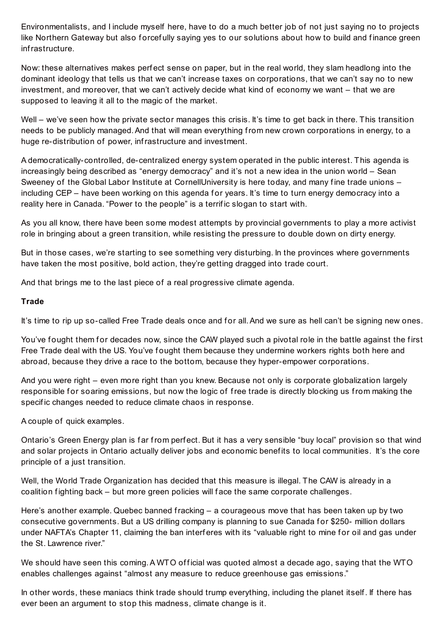Environmentalists, and I include myself here, have to do a much better job of not just saying no to projects like Northern Gateway but also forcefully saying yes to our solutions about how to build and finance green infrastructure.

Now: these alternatives makes perf ect sense on paper, but in the real world, they slam headlong into the dominant ideology that tells us that we can't increase taxes on corporations, that we can't say no to new investment, and moreover, that we can't actively decide what kind of economy we want – that we are supposed to leaving it all to the magic of the market.

Well – we've seen how the private sector manages this crisis. It's time to get back in there. This transition needs to be publicly managed.And that will mean everything from new crown corporations in energy, to a huge re-distribution of power, infrastructure and investment.

A democratically-controlled, de-centralized energy system operated in the public interest. This agenda is increasingly being described as "energy democracy" and it's not a new idea in the union world – Sean Sweeney of the Global Labor Institute at CornellUniversity is here today, and many fine trade unions – including CEP – have been working on this agenda for years. It's time to turn energy democracy into a reality here in Canada. "Power to the people" is a terrif ic slogan to start with.

As you all know, there have been some modest attempts by provincial governments to play a more activist role in bringing about a green transition, while resisting the pressure to double down on dirty energy.

But in those cases, we're starting to see something very disturbing. In the provinces where governments have taken the most positive, bold action, they're getting dragged into trade court.

And that brings me to the last piece of a real progressive climate agenda.

#### **Trade**

It's time to rip up so-called Free Trade deals once and for all. And we sure as hell can't be signing new ones.

You've fought them for decades now, since the CAW played such a pivotal role in the battle against the first Free Trade deal with the US. You've fought them because they undermine workers rights both here and abroad, because they drive a race to the bottom, because they hyper-empower corporations.

And you were right – even more right than you knew. Because not only is corporate globalization largely responsible for soaring emissions, but now the logic of free trade is directly blocking us from making the specif ic changes needed to reduce climate chaos in response.

A couple of quick examples.

Ontario's Green Energy plan is far from perfect. But it has a very sensible "buy local" provision so that wind and solar projects in Ontario actually deliver jobs and economic benef its to local communities. It's the core principle of a just transition.

Well, the World Trade Organization has decided that this measure is illegal. The CAW is already in a coalition fighting back – but more green policies will face the same corporate challenges.

Here's another example. Quebec banned fracking – a courageous move that has been taken up by two consecutive governments. But a US drilling company is planning to sue Canada for \$250- million dollars under NAFTA's Chapter 11, claiming the ban interferes with its "valuable right to mine for oil and gas under the St. Lawrence river."

We should have seen this coming. A WTO official was quoted almost a decade ago, saying that the WTO enables challenges against "almost any measure to reduce greenhouse gas emissions."

In other words, these maniacs think trade should trump everything, including the planet itself . If there has ever been an argument to stop this madness, climate change is it.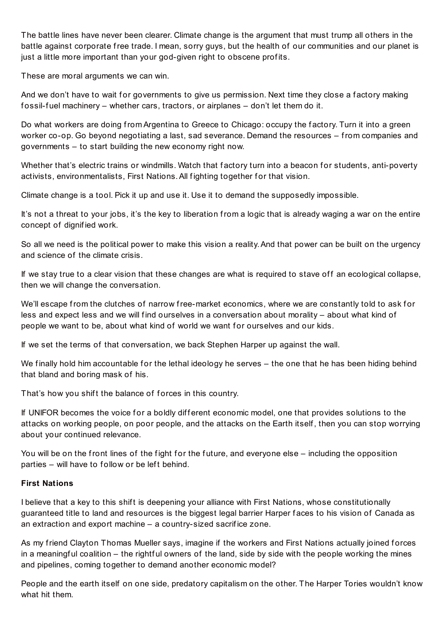The battle lines have never been clearer. Climate change is the argument that must trump all others in the battle against corporate free trade. I mean, sorry guys, but the health of our communities and our planet is just a little more important than your god-given right to obscene profits.

These are moral arguments we can win.

And we don't have to wait for governments to give us permission. Next time they close a factory making fossil-fuel machinery – whether cars, tractors, or airplanes – don't let them do it.

Do what workers are doing from Argentina to Greece to Chicago: occupy the f actory. Turn it into a green worker co-op. Go beyond negotiating a last, sad severance. Demand the resources – from companies and governments – to start building the new economy right now.

Whether that's electric trains or windmills. Watch that factory turn into a beacon for students, anti-poverty activists, environmentalists, First Nations. All fighting together for that vision.

Climate change is a tool. Pick it up and use it. Use it to demand the supposedly impossible.

It's not a threat to your jobs, it's the key to liberation from a logic that is already waging a war on the entire concept of dignif ied work.

So all we need is the political power to make this vision a reality.And that power can be built on the urgency and science of the climate crisis.

If we stay true to a clear vision that these changes are what is required to stave off an ecological collapse, then we will change the conversation.

We'll escape from the clutches of narrow free-market economics, where we are constantly told to ask for less and expect less and we will find ourselves in a conversation about morality – about what kind of people we want to be, about what kind of world we want for ourselves and our kids.

If we set the terms of that conversation, we back Stephen Harper up against the wall.

We finally hold him accountable for the lethal ideology he serves  $-$  the one that he has been hiding behind that bland and boring mask of his.

That's how you shift the balance of forces in this country.

If UNIFOR becomes the voice for a boldly different economic model, one that provides solutions to the attacks on working people, on poor people, and the attacks on the Earth itself , then you can stop worrying about your continued relevance.

You will be on the front lines of the fight for the future, and everyone else – including the opposition parties – will have to follow or be left behind.

#### **First Nations**

I believe that a key to this shift is deepening your alliance with First Nations, whose constitutionally guaranteed title to land and resources is the biggest legal barrier Harper f aces to his vision of Canada as an extraction and export machine – a country-sized sacrif ice zone.

As my friend Clayton Thomas Mueller says, imagine if the workers and First Nations actually joined forces in a meaningful coalition – the rightful owners of the land, side by side with the people working the mines and pipelines, coming together to demand another economic model?

People and the earth itself on one side, predatory capitalism on the other. The Harper Tories wouldn't know what hit them.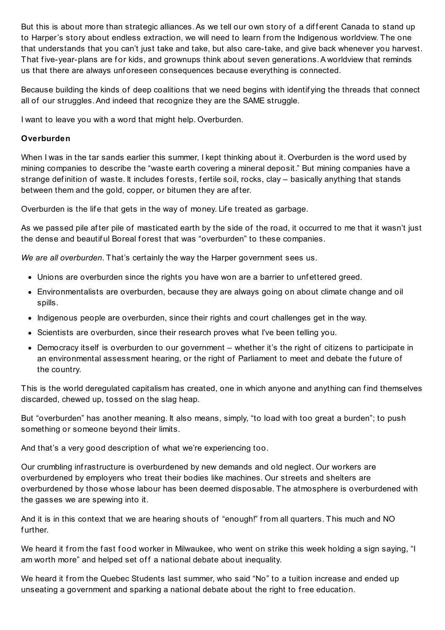But this is about more than strategic alliances. As we tell our own story of a different Canada to stand up to Harper's story about endless extraction, we will need to learn from the Indigenous worldview. The one that understands that you can't just take and take, but also care-take, and give back whenever you harvest. That five-year-plans are for kids, and grownups think about seven generations. A worldview that reminds us that there are always unf oreseen consequences because everything is connected.

Because building the kinds of deep coalitions that we need begins with identif ying the threads that connect all of our struggles.And indeed that recognize they are the SAME struggle.

I want to leave you with a word that might help. Overburden.

#### **Overburden**

When I was in the tar sands earlier this summer, I kept thinking about it. Overburden is the word used by mining companies to describe the "waste earth covering a mineral deposit." But mining companies have a strange definition of waste. It includes forests, fertile soil, rocks, clay – basically anything that stands between them and the gold, copper, or bitumen they are af ter.

Overburden is the life that gets in the way of money. Life treated as garbage.

As we passed pile af ter pile of masticated earth by the side of the road, it occurred to me that it wasn't just the dense and beautiful Boreal forest that was "overburden" to these companies.

*We are all overburden*. That's certainly the way the Harper government sees us.

- Unions are overburden since the rights you have won are a barrier to unf ettered greed.
- Environmentalists are overburden, because they are always going on about climate change and oil spills.
- Indigenous people are overburden, since their rights and court challenges get in the way.
- Scientists are overburden, since their research proves what I've been telling you.
- Democracy itself is overburden to our government whether it's the right of citizens to participate in an environmental assessment hearing, or the right of Parliament to meet and debate the future of the country.

This is the world deregulated capitalism has created, one in which anyone and anything can find themselves discarded, chewed up, tossed on the slag heap.

But "overburden" has another meaning. It also means, simply, "to load with too great a burden"; to push something or someone beyond their limits.

And that's a very good description of what we're experiencing too.

Our crumbling infrastructure is overburdened by new demands and old neglect. Our workers are overburdened by employers who treat their bodies like machines. Our streets and shelters are overburdened by those whose labour has been deemed disposable. The atmosphere is overburdened with the gasses we are spewing into it.

And it is in this context that we are hearing shouts of "enough!" from all quarters. This much and NO f urther.

We heard it from the fast food worker in Milwaukee, who went on strike this week holding a sign saying, "I am worth more" and helped set off a national debate about inequality.

We heard it from the Quebec Students last summer, who said "No" to a tuition increase and ended up unseating a government and sparking a national debate about the right to free education.